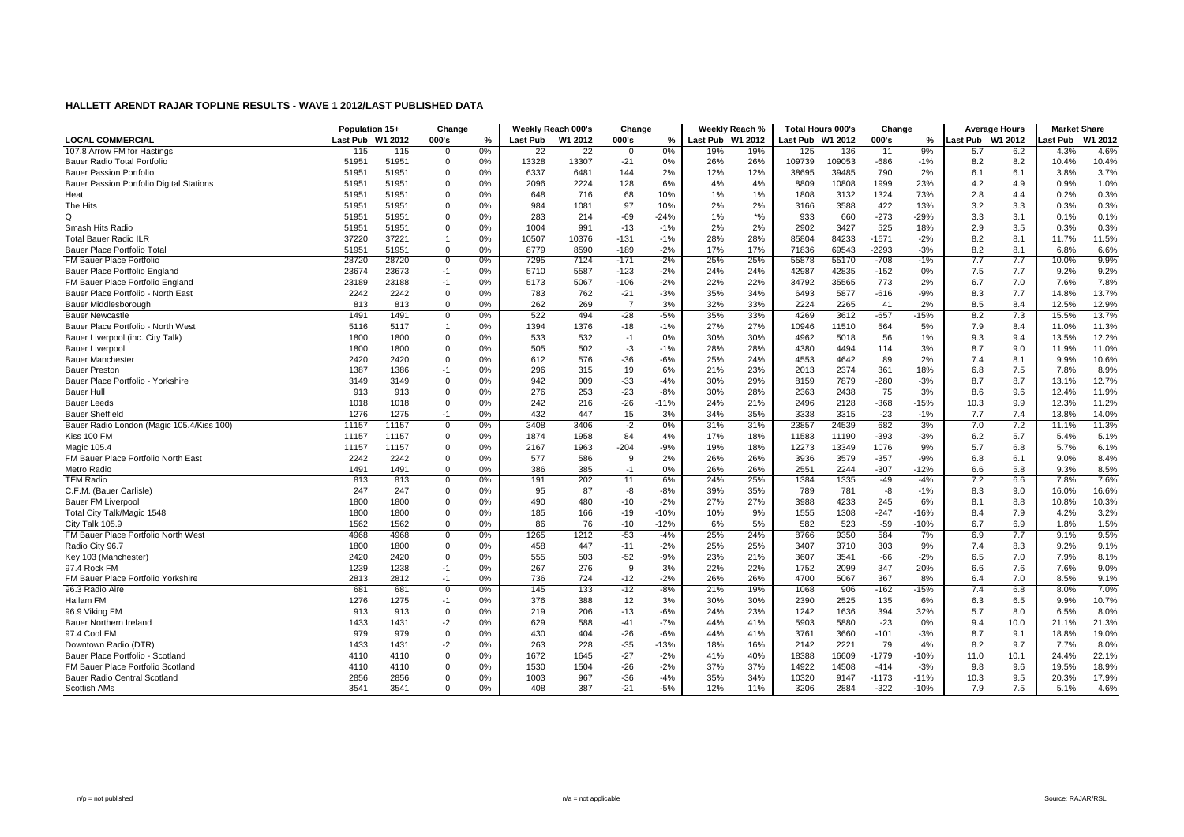|                                           | Population 15+   |       | Change         |       | Weekly Reach 000's |                 | Change         |        | Weekly Reach %   |       | <b>Total Hours 000's</b> |        | Change  |        | <b>Average Hours</b> |      | <b>Market Share</b> |         |
|-------------------------------------------|------------------|-------|----------------|-------|--------------------|-----------------|----------------|--------|------------------|-------|--------------------------|--------|---------|--------|----------------------|------|---------------------|---------|
| <b>LOCAL COMMERCIAL</b>                   | Last Pub W1 2012 |       | 000's          | $\%$  | <b>Last Pub</b>    | W1 2012         | 000's          | %      | Last Pub W1 2012 |       | Last Pub W1 2012         |        | 000's   | %      | Last Pub W1 2012     |      | ast Pub             | W1 2012 |
| 107.8 Arrow FM for Hastings               | 115              | 115   | $\Omega$       | 0%    | 22                 | $\overline{22}$ | $\mathbf 0$    | 0%     | 19%              | 19%   | 125                      | 136    | 11      | 9%     | 5.7                  | 6.2  | 4.3%                | 4.6%    |
| Bauer Radio Total Portfolio               | 51951            | 51951 | $\Omega$       | 0%    | 13328              | 13307           | $-21$          | 0%     | 26%              | 26%   | 109739                   | 109053 | $-686$  | $-1%$  | 8.2                  | 8.2  | 10.4%               | 10.4%   |
| <b>Bauer Passion Portfolio</b>            | 51951            | 51951 | $\Omega$       | 0%    | 6337               | 6481            | 144            | 2%     | 12%              | 12%   | 38695                    | 39485  | 790     | 2%     | 6.1                  | 6.1  | 3.8%                | 3.7%    |
| Bauer Passion Portfolio Digital Stations  | 51951            | 51951 | $\mathbf 0$    | 0%    | 2096               | 2224            | 128            | 6%     | 4%               | 4%    | 8809                     | 10808  | 1999    | 23%    | 4.2                  | 4.9  | 0.9%                | 1.0%    |
| Heat                                      | 51951            | 51951 | $\Omega$       | 0%    | 648                | 716             | 68             | 10%    | 1%               | 1%    | 1808                     | 3132   | 1324    | 73%    | 2.8                  | 4.4  | 0.2%                | 0.3%    |
| The Hits                                  | 51951            | 51951 | $\mathbf 0$    | 0%    | 984                | 1081            | 97             | 10%    | 2%               | 2%    | 3166                     | 3588   | 422     | 13%    | 3.2                  | 3.3  | 0.3%                | 0.3%    |
| Q                                         | 51951            | 51951 | $\Omega$       | 0%    | 283                | 214             | $-69$          | $-24%$ | 1%               | $*$ % | 933                      | 660    | $-273$  | $-29%$ | 3.3                  | 3.1  | 0.1%                | 0.1%    |
| Smash Hits Radio                          | 51951            | 51951 | $\mathbf 0$    | 0%    | 1004               | 991             | $-13$          | $-1%$  | 2%               | 2%    | 2902                     | 3427   | 525     | 18%    | 2.9                  | 3.5  | 0.3%                | 0.3%    |
| <b>Total Bauer Radio ILR</b>              | 37220            | 37221 | $\overline{1}$ | 0%    | 10507              | 10376           | $-131$         | $-1%$  | 28%              | 28%   | 85804                    | 84233  | $-1571$ | $-2%$  | 8.2                  | 8.1  | 11.7%               | 11.5%   |
| Bauer Place Portfolio Total               | 51951            | 51951 | $\Omega$       | 0%    | 8779               | 8590            | $-189$         | $-2%$  | 17%              | 17%   | 71836                    | 69543  | $-2293$ | $-3%$  | 8.2                  | 8.1  | 6.8%                | 6.6%    |
| FM Bauer Place Portfolio                  | 28720            | 28720 | $\overline{0}$ | $0\%$ | 7295               | 7124            | $-171$         | $-2%$  | 25%              | 25%   | 55878                    | 55170  | $-708$  | $-1%$  | 7.7                  | 7.7  | 10.0%               | 9.9%    |
| Bauer Place Portfolio England             | 23674            | 23673 | $-1$           | 0%    | 5710               | 5587            | $-123$         | $-2%$  | 24%              | 24%   | 42987                    | 42835  | $-152$  | 0%     | 7.5                  | 7.7  | 9.2%                | 9.2%    |
| FM Bauer Place Portfolio England          | 23189            | 23188 | $-1$           | 0%    | 5173               | 5067            | $-106$         | $-2%$  | 22%              | 22%   | 34792                    | 35565  | 773     | 2%     | 6.7                  | 7.0  | 7.6%                | 7.8%    |
| Bauer Place Portfolio - North East        | 2242             | 2242  | $\Omega$       | 0%    | 783                | 762             | $-21$          | $-3%$  | 35%              | 34%   | 6493                     | 5877   | $-616$  | $-9%$  | 8.3                  | 7.7  | 14.8%               | 13.7%   |
| Bauer Middlesborough                      | 813              | 813   | $\Omega$       | 0%    | 262                | 269             | $\overline{7}$ | 3%     | 32%              | 33%   | 2224                     | 2265   | 41      | 2%     | 8.5                  | 8.4  | 12.5%               | 12.9%   |
| <b>Bauer Newcastle</b>                    | 1491             | 1491  | $\mathbf 0$    | 0%    | 522                | 494             | $-28$          | $-5%$  | 35%              | 33%   | 4269                     | 3612   | $-657$  | $-15%$ | 8.2                  | 7.3  | 15.5%               | 13.7%   |
| Bauer Place Portfolio - North West        | 5116             | 5117  | $\overline{1}$ | 0%    | 1394               | 1376            | $-18$          | $-1%$  | 27%              | 27%   | 10946                    | 11510  | 564     | 5%     | 7.9                  | 8.4  | 11.0%               | 11.3%   |
| Bauer Liverpool (inc. City Talk)          | 1800             | 1800  | $\Omega$       | 0%    | 533                | 532             | $-1$           | 0%     | 30%              | 30%   | 4962                     | 5018   | 56      | 1%     | 9.3                  | 9.4  | 13.5%               | 12.2%   |
| <b>Bauer Liverpool</b>                    | 1800             | 1800  | $\Omega$       | 0%    | 505                | 502             | $-3$           | $-1%$  | 28%              | 28%   | 4380                     | 4494   | 114     | 3%     | 8.7                  | 9.0  | 11.9%               | 11.0%   |
| <b>Bauer Manchester</b>                   | 2420             | 2420  | $\overline{0}$ | 0%    | 612                | 576             | $-36$          | $-6%$  | 25%              | 24%   | 4553                     | 4642   | 89      | 2%     | 7.4                  | 8.1  | 9.9%                | 10.6%   |
| <b>Bauer Preston</b>                      | 1387             | 1386  | $-1$           | 0%    | 296                | 315             | 19             | 6%     | 21%              | 23%   | 2013                     | 2374   | 361     | 18%    | 6.8                  | 7.5  | 7.8%                | 8.9%    |
| Bauer Place Portfolio - Yorkshire         | 3149             | 3149  | $\overline{0}$ | 0%    | 942                | 909             | $-33$          | $-4%$  | 30%              | 29%   | 8159                     | 7879   | $-280$  | $-3%$  | 8.7                  | 8.7  | 13.1%               | 12.7%   |
| <b>Bauer Hull</b>                         | 913              | 913   | $\Omega$       | 0%    | 276                | 253             | $-23$          | $-8%$  | 30%              | 28%   | 2363                     | 2438   | 75      | 3%     | 8.6                  | 9.6  | 12.4%               | 11.9%   |
| <b>Bauer Leeds</b>                        | 1018             | 1018  | $\mathbf 0$    | 0%    | 242                | 216             | $-26$          | $-11%$ | 24%              | 21%   | 2496                     | 2128   | $-368$  | $-15%$ | 10.3                 | 9.9  | 12.3%               | 11.2%   |
| <b>Bauer Sheffield</b>                    | 1276             | 1275  | $-1$           | 0%    | 432                | 447             | 15             | 3%     | 34%              | 35%   | 3338                     | 3315   | $-23$   | $-1%$  | 7.7                  | 7.4  | 13.8%               | 14.0%   |
| Bauer Radio London (Magic 105.4/Kiss 100) | 11157            | 11157 | $\overline{0}$ | 0%    | 3408               | 3406            | $-2$           | 0%     | 31%              | 31%   | 23857                    | 24539  | 682     | 3%     | 7.0                  | 7.2  | 11.1%               | 11.3%   |
| Kiss 100 FM                               | 11157            | 11157 | $\mathbf 0$    | 0%    | 1874               | 1958            | 84             | 4%     | 17%              | 18%   | 11583                    | 11190  | $-393$  | $-3%$  | 6.2                  | 5.7  | 5.4%                | 5.1%    |
| Magic 105.4                               | 11157            | 11157 | $\Omega$       | 0%    | 2167               | 1963            | $-204$         | $-9%$  | 19%              | 18%   | 12273                    | 13349  | 1076    | 9%     | 5.7                  | 6.8  | 5.7%                | 6.1%    |
| FM Bauer Place Portfolio North East       | 2242             | 2242  | $\mathbf 0$    | 0%    | 577                | 586             | 9              | 2%     | 26%              | 26%   | 3936                     | 3579   | $-357$  | $-9%$  | 6.8                  | 6.1  | 9.0%                | 8.4%    |
| Metro Radio                               | 1491             | 1491  | $\mathbf 0$    | 0%    | 386                | 385             | $-1$           | 0%     | 26%              | 26%   | 2551                     | 2244   | $-307$  | $-12%$ | 6.6                  | 5.8  | 9.3%                | 8.5%    |
| <b>TFM Radio</b>                          | 813              | 813   | $\overline{0}$ | 0%    | 191                | 202             | 11             | 6%     | 24%              | 25%   | 1384                     | 1335   | $-49$   | $-4%$  | 7.2                  | 6.6  | 7.8%                | 7.6%    |
| C.F.M. (Bauer Carlisle)                   | 247              | 247   | $\Omega$       | 0%    | 95                 | 87              | -8             | $-8%$  | 39%              | 35%   | 789                      | 781    | -8      | $-1%$  | 8.3                  | 9.0  | 16.0%               | 16.6%   |
| <b>Bauer FM Liverpool</b>                 | 1800             | 1800  | $\Omega$       | 0%    | 490                | 480             | $-10$          | $-2%$  | 27%              | 27%   | 3988                     | 4233   | 245     | 6%     | 8.1                  | 8.8  | 10.8%               | 10.3%   |
| Total City Talk/Magic 1548                | 1800             | 1800  | $\Omega$       | 0%    | 185                | 166             | $-19$          | $-10%$ | 10%              | 9%    | 1555                     | 1308   | $-247$  | $-16%$ | 8.4                  | 7.9  | 4.2%                | 3.2%    |
| City Talk 105.9                           | 1562             | 1562  | $\mathbf 0$    | 0%    | 86                 | 76              | $-10$          | $-12%$ | 6%               | 5%    | 582                      | 523    | $-59$   | $-10%$ | 6.7                  | 6.9  | 1.8%                | 1.5%    |
| FM Bauer Place Portfolio North West       | 4968             | 4968  | $\mathbf 0$    | 0%    | 1265               | 1212            | $-53$          | $-4%$  | 25%              | 24%   | 8766                     | 9350   | 584     | 7%     | 6.9                  | 7.7  | 9.1%                | 9.5%    |
| Radio City 96.7                           | 1800             | 1800  | $\Omega$       | 0%    | 458                | 447             | $-11$          | $-2%$  | 25%              | 25%   | 3407                     | 3710   | 303     | 9%     | 7.4                  | 8.3  | 9.2%                | 9.1%    |
| Key 103 (Manchester)                      | 2420             | 2420  | $\Omega$       | 0%    | 555                | 503             | $-52$          | $-9%$  | 23%              | 21%   | 3607                     | 3541   | $-66$   | $-2%$  | 6.5                  | 7.0  | 7.9%                | 8.1%    |
| 97.4 Rock FM                              | 1239             | 1238  | $-1$           | 0%    | 267                | 276             | 9              | 3%     | 22%              | 22%   | 1752                     | 2099   | 347     | 20%    | 6.6                  | 7.6  | 7.6%                | 9.0%    |
| FM Bauer Place Portfolio Yorkshire        | 2813             | 2812  | $-1$           | 0%    | 736                | 724             | $-12$          | $-2%$  | 26%              | 26%   | 4700                     | 5067   | 367     | 8%     | 6.4                  | 7.0  | 8.5%                | 9.1%    |
| 96.3 Radio Aire                           | 681              | 681   | $\overline{0}$ | 0%    | 145                | 133             | $-12$          | $-8%$  | 21%              | 19%   | 1068                     | 906    | $-162$  | $-15%$ | 7.4                  | 6.8  | 8.0%                | 7.0%    |
| Hallam FM                                 | 1276             | 1275  | $-1$           | $0\%$ | 376                | 388             | 12             | 3%     | 30%              | 30%   | 2390                     | 2525   | 135     | 6%     | 6.3                  | 6.5  | 9.9%                | 10.7%   |
| 96.9 Viking FM                            | 913              | 913   | $\overline{0}$ | 0%    | 219                | 206             | $-13$          | $-6%$  | 24%              | 23%   | 1242                     | 1636   | 394     | 32%    | 5.7                  | 8.0  | 6.5%                | 8.0%    |
| Bauer Northern Ireland                    | 1433             | 1431  | $-2$           | 0%    | 629                | 588             | $-41$          | $-7%$  | 44%              | 41%   | 5903                     | 5880   | $-23$   | 0%     | 9.4                  | 10.0 | 21.1%               | 21.3%   |
| 97.4 Cool FM                              | 979              | 979   | $\mathbf 0$    | 0%    | 430                | 404             | $-26$          | $-6%$  | 44%              | 41%   | 3761                     | 3660   | $-101$  | $-3%$  | 8.7                  | 9.1  | 18.8%               | 19.0%   |
| Downtown Radio (DTR)                      | 1433             | 1431  | $-2$           | $0\%$ | 263                | 228             | $-35$          | $-13%$ | 18%              | 16%   | 2142                     | 2221   | 79      | 4%     | 8.2                  | 9.7  | 7.7%                | 8.0%    |
| Bauer Place Portfolio - Scotland          | 4110             | 4110  | $\overline{0}$ | 0%    | 1672               | 1645            | $-27$          | $-2%$  | 41%              | 40%   | 18388                    | 16609  | $-1779$ | $-10%$ | 11.0                 | 10.1 | 24.4%               | 22.1%   |
| FM Bauer Place Portfolio Scotland         | 4110             | 4110  | $\Omega$       | $0\%$ | 1530               | 1504            | $-26$          | $-2%$  | 37%              | 37%   | 14922                    | 14508  | $-414$  | $-3%$  | 9.8                  | 9.6  | 19.5%               | 18.9%   |
| Bauer Radio Central Scotland              | 2856             | 2856  | $\Omega$       | 0%    | 1003               | 967             | $-36$          | $-4%$  | 35%              | 34%   | 10320                    | 9147   | $-1173$ | $-11%$ | 10.3                 | 9.5  | 20.3%               | 17.9%   |
| Scottish AMs                              | 3541             | 3541  | $\Omega$       | 0%    | 408                | 387             | $-21$          | $-5%$  | 12%              | 11%   | 3206                     | 2884   | $-322$  | $-10%$ | 7.9                  | 7.5  | 5.1%                | 4.6%    |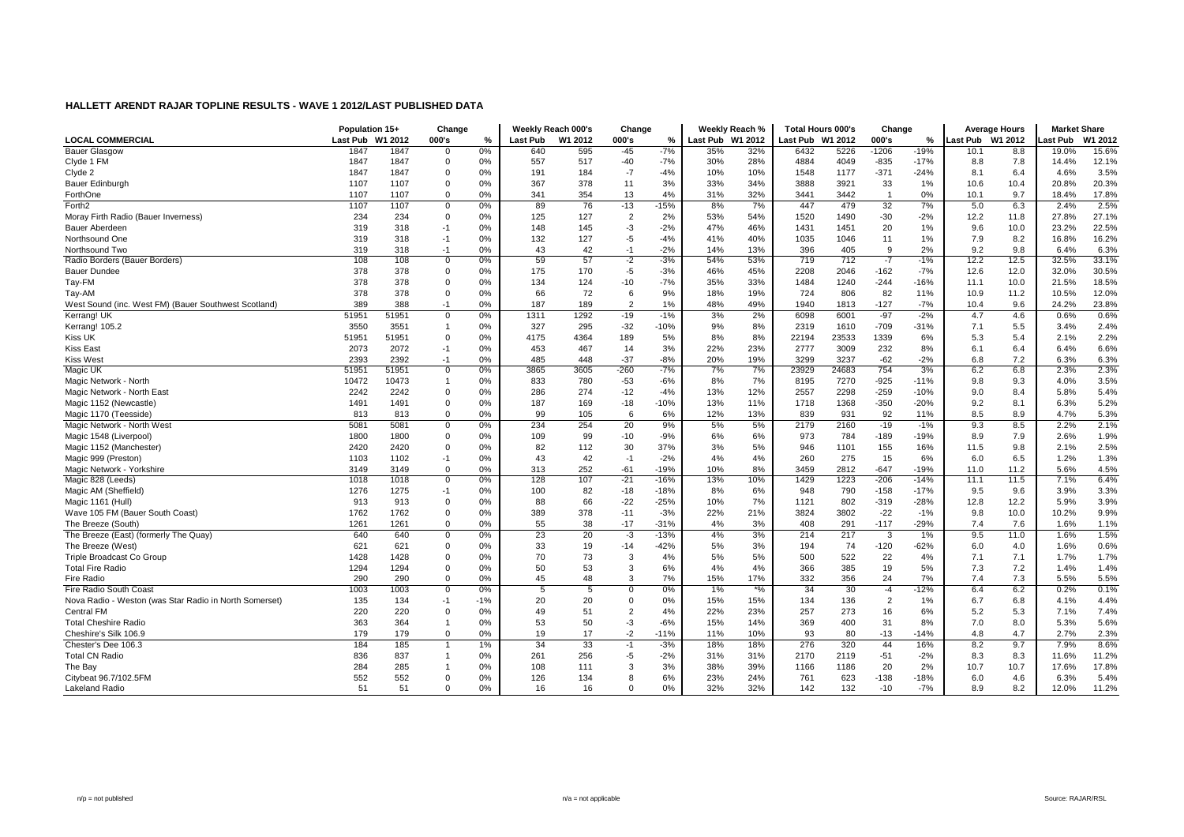|                                                        | Population 15+  |         | Change         |       |          | Weekly Reach 000's | Change         |               |                  | Weekly Reach % | <b>Total Hours 000's</b> |       | Change         |        |                  | <b>Average Hours</b> | <b>Market Share</b> |         |
|--------------------------------------------------------|-----------------|---------|----------------|-------|----------|--------------------|----------------|---------------|------------------|----------------|--------------------------|-------|----------------|--------|------------------|----------------------|---------------------|---------|
| <b>LOCAL COMMERCIAL</b>                                | <b>Last Pub</b> | W1 2012 | 000's          | %     | Last Pub | W1 2012            | 000's          | $\frac{9}{6}$ | Last Pub W1 2012 |                | Last Pub W1 2012         |       | 000's          | %      | Last Pub W1 2012 |                      | ast Pub.            | W1 2012 |
| <b>Bauer Glasgow</b>                                   | 1847            | 1847    | $\mathbf 0$    | 0%    | 640      | 595                | $-45$          | $-7%$         | 35%              | 32%            | 6432                     | 5226  | $-1206$        | $-19%$ | 10.1             | 8.8                  | 19.0%               | 15.6%   |
| Clyde 1 FM                                             | 1847            | 1847    | $\mathbf 0$    | 0%    | 557      | 517                | $-40$          | $-7%$         | 30%              | 28%            | 4884                     | 4049  | $-835$         | $-17%$ | 8.8              | 7.8                  | 14.4%               | 12.1%   |
| Clyde 2                                                | 1847            | 1847    | $\mathbf{0}$   | 0%    | 191      | 184                | $-7$           | $-4%$         | 10%              | 10%            | 1548                     | 1177  | $-371$         | $-24%$ | 8.1              | 6.4                  | 4.6%                | 3.5%    |
| Bauer Edinburgh                                        | 1107            | 1107    | $\mathbf 0$    | 0%    | 367      | 378                | 11             | 3%            | 33%              | 34%            | 3888                     | 3921  | 33             | 1%     | 10.6             | 10.4                 | 20.8%               | 20.3%   |
| ForthOne                                               | 1107            | 1107    | $\Omega$       | 0%    | 341      | 354                | 13             | 4%            | 31%              | 32%            | 3441                     | 3442  | $\overline{1}$ | 0%     | 10.1             | 9.7                  | 18.4%               | 17.8%   |
| Forth <sub>2</sub>                                     | 1107            | 1107    | $\mathbf 0$    | $0\%$ | 89       | 76                 | $-13$          | $-15%$        | 8%               | 7%             | 447                      | 479   | 32             | 7%     | 5.0              | 6.3                  | 2.4%                | 2.5%    |
| Moray Firth Radio (Bauer Inverness)                    | 234             | 234     | $\mathbf{0}$   | 0%    | 125      | 127                | $\overline{2}$ | 2%            | 53%              | 54%            | 1520                     | 1490  | $-30$          | $-2%$  | 12.2             | 11.8                 | 27.8%               | 27.1%   |
| Bauer Aberdeen                                         | 319             | 318     | $-1$           | $0\%$ | 148      | 145                | $-3$           | $-2%$         | 47%              | 46%            | 1431                     | 1451  | 20             | 1%     | 9.6              | 10.0                 | 23.2%               | 22.5%   |
| Northsound One                                         | 319             | 318     | $-1$           | 0%    | 132      | 127                | $-5$           | $-4%$         | 41%              | 40%            | 1035                     | 1046  | 11             | 1%     | 7.9              | 8.2                  | 16.8%               | 16.2%   |
| Northsound Two                                         | 319             | 318     | $-1$           | 0%    | 43       | 42                 | $-1$           | $-2%$         | 14%              | 13%            | 396                      | 405   | 9              | 2%     | 9.2              | 9.8                  | 6.4%                | 6.3%    |
| Radio Borders (Bauer Borders)                          | 108             | 108     | $\mathbf 0$    | 0%    | 59       | 57                 | $-2$           | $-3%$         | 54%              | 53%            | 719                      | 712   | $-7$           | $-1%$  | 12.2             | 12.5                 | 32.5%               | 33.1%   |
| <b>Bauer Dundee</b>                                    | 378             | 378     | $\mathbf{0}$   | 0%    | 175      | 170                | $-5$           | $-3%$         | 46%              | 45%            | 2208                     | 2046  | $-162$         | $-7%$  | 12.6             | 12.0                 | 32.0%               | 30.5%   |
| Tay-FM                                                 | 378             | 378     | $\overline{0}$ | 0%    | 134      | 124                | $-10$          | $-7%$         | 35%              | 33%            | 1484                     | 1240  | $-244$         | $-16%$ | 11.1             | 10.0                 | 21.5%               | 18.5%   |
| Tay-AM                                                 | 378             | 378     | $\overline{0}$ | 0%    | 66       | 72                 | 6              | 9%            | 18%              | 19%            | 724                      | 806   | 82             | 11%    | 10.9             | 11.2                 | 10.5%               | 12.0%   |
| West Sound (inc. West FM) (Bauer Southwest Scotland)   | 389             | 388     | $-1$           | 0%    | 187      | 189                | $\overline{2}$ | 1%            | 48%              | 49%            | 1940                     | 1813  | $-127$         | $-7%$  | 10.4             | 9.6                  | 24.2%               | 23.8%   |
| Kerrang! UK                                            | 51951           | 51951   | $\overline{0}$ | 0%    | 1311     | 1292               | $-19$          | $-1%$         | 3%               | 2%             | 6098                     | 6001  | $-97$          | $-2%$  | 4.7              | 4.6                  | 0.6%                | 0.6%    |
| Kerrang! 105.2                                         | 3550            | 3551    | $\overline{1}$ | 0%    | 327      | 295                | $-32$          | $-10%$        | 9%               | 8%             | 2319                     | 1610  | $-709$         | $-31%$ | 7.1              | 5.5                  | 3.4%                | 2.4%    |
| Kiss UK                                                | 51951           | 51951   | $\Omega$       | 0%    | 4175     | 4364               | 189            | 5%            | 8%               | 8%             | 22194                    | 23533 | 1339           | 6%     | 5.3              | 5.4                  | 2.1%                | 2.2%    |
| <b>Kiss East</b>                                       | 2073            | 2072    | $-1$           | 0%    | 453      | 467                | 14             | 3%            | 22%              | 23%            | 2777                     | 3009  | 232            | 8%     | 6.1              | 6.4                  | 6.4%                | 6.6%    |
| <b>Kiss West</b>                                       | 2393            | 2392    | $-1$           | 0%    | 485      | 448                | $-37$          | $-8%$         | 20%              | 19%            | 3299                     | 3237  | $-62$          | $-2%$  | 6.8              | 7.2                  | 6.3%                | 6.3%    |
| <b>Magic UK</b>                                        | 5195'           | 51951   | $\overline{0}$ | 0%    | 3865     | 3605               | $-260$         | $-7%$         | 7%               | 7%             | 23929                    | 24683 | 754            | 3%     | 6.2              | 6.8                  | 2.3%                | 2.3%    |
| Magic Network - North                                  | 10472           | 10473   | $\overline{1}$ | 0%    | 833      | 780                | $-53$          | $-6%$         | 8%               | 7%             | 8195                     | 7270  | $-925$         | $-11%$ | 9.8              | 9.3                  | 4.0%                | 3.5%    |
| Magic Network - North East                             | 2242            | 2242    | $\mathbf 0$    | 0%    | 286      | 274                | $-12$          | $-4%$         | 13%              | 12%            | 2557                     | 2298  | $-259$         | $-10%$ | 9.0              | 8.4                  | 5.8%                | 5.4%    |
| Magic 1152 (Newcastle)                                 | 1491            | 1491    | $\mathbf 0$    | 0%    | 187      | 169                | $-18$          | $-10%$        | 13%              | 11%            | 1718                     | 1368  | $-350$         | $-20%$ | 9.2              | 8.1                  | 6.3%                | 5.2%    |
| Magic 1170 (Teesside)                                  | 813             | 813     | $\mathbf 0$    | 0%    | 99       | 105                | 6              | 6%            | 12%              | 13%            | 839                      | 931   | 92             | 11%    | 8.5              | 8.9                  | 4.7%                | 5.3%    |
| Magic Network - North West                             | 5081            | 5081    | $\mathbf 0$    | 0%    | 234      | 254                | 20             | 9%            | 5%               | 5%             | 2179                     | 2160  | $-19$          | $-1%$  | 9.3              | 8.5                  | 2.2%                | 2.1%    |
| Magic 1548 (Liverpool)                                 | 1800            | 1800    | $\mathbf{0}$   | 0%    | 109      | 99                 | $-10$          | $-9%$         | 6%               | 6%             | 973                      | 784   | $-189$         | $-19%$ | 8.9              | 7.9                  | 2.6%                | 1.9%    |
| Magic 1152 (Manchester                                 | 2420            | 2420    | $\Omega$       | 0%    | 82       | 112                | 30             | 37%           | 3%               | 5%             | 946                      | 1101  | 155            | 16%    | 11.5             | 9.8                  | 2.1%                | 2.5%    |
| Magic 999 (Preston)                                    | 1103            | 1102    | $-1$           | 0%    | 43       | 42                 | $-1$           | $-2%$         | 4%               | 4%             | 260                      | 275   | 15             | 6%     | 6.0              | 6.5                  | 1.2%                | 1.3%    |
| Magic Network - Yorkshire                              | 3149            | 3149    | $\mathbf{0}$   | 0%    | 313      | 252                | $-61$          | $-19%$        | 10%              | 8%             | 3459                     | 2812  | $-647$         | $-19%$ | 11.0             | 11.2                 | 5.6%                | 4.5%    |
| Magic 828 (Leeds)                                      | 1018            | 1018    | $\overline{0}$ | 0%    | 128      | 107                | $-21$          | $-16%$        | 13%              | 10%            | 1429                     | 1223  | $-206$         | $-14%$ | 11.1             | 11.5                 | 7.1%                | 6.4%    |
| Magic AM (Sheffield)                                   | 1276            | 1275    | $-1$           | 0%    | 100      | 82                 | $-18$          | $-18%$        | 8%               | 6%             | 948                      | 790   | $-158$         | $-17%$ | 9.5              | 9.6                  | 3.9%                | 3.3%    |
| Magic 1161 (Hull)                                      | 913             | 913     | $\mathbf 0$    | 0%    | 88       | 66                 | $-22$          | $-25%$        | 10%              | 7%             | 1121                     | 802   | $-319$         | $-28%$ | 12.8             | 12.2                 | 5.9%                | 3.9%    |
| Wave 105 FM (Bauer South Coast)                        | 1762            | 1762    | $\mathbf 0$    | 0%    | 389      | 378                | $-11$          | $-3%$         | 22%              | 21%            | 3824                     | 3802  | $-22$          | $-1%$  | 9.8              | 10.0                 | 10.2%               | 9.9%    |
| The Breeze (South)                                     | 1261            | 1261    | $\mathbf{0}$   | 0%    | 55       | 38                 | $-17$          | $-31%$        | 4%               | 3%             | 408                      | 291   | $-117$         | $-29%$ | 7.4              | 7.6                  | 1.6%                | 1.1%    |
| The Breeze (East) (formerly The Quay)                  | 640             | 640     | $\overline{0}$ | 0%    | 23       | 20                 | -3             | $-13%$        | 4%               | 3%             | 214                      | 217   | 3              | 1%     | 9.5              | 11.0                 | 1.6%                | 1.5%    |
| The Breeze (West)                                      | 621             | 621     | $\mathbf 0$    | 0%    | 33       | 19                 | $-14$          | $-42%$        | 5%               | 3%             | 194                      | 74    | $-120$         | -62%   | 6.0              | 4.0                  | 1.6%                | 0.6%    |
| Triple Broadcast Co Group                              | 1428            | 1428    | $\Omega$       | 0%    | 70       | 73                 | 3              | 4%            | 5%               | 5%             | 500                      | 522   | 22             | 4%     | 7.1              | 7.1                  | 1.7%                | 1.7%    |
| <b>Total Fire Radio</b>                                | 1294            | 1294    | $\mathbf 0$    | 0%    | 50       | 53                 | 3              | 6%            | 4%               | 4%             | 366                      | 385   | 19             | 5%     | 7.3              | 7.2                  | 1.4%                | 1.4%    |
| Fire Radio                                             | 290             | 290     | $\overline{0}$ | 0%    | 45       | 48                 | $\mathbf{3}$   | 7%            | 15%              | 17%            | 332                      | 356   | 24             | 7%     | 7.4              | 7.3                  | 5.5%                | 5.5%    |
| Fire Radio South Coast                                 | 1003            | 1003    | $\overline{0}$ | 0%    | -5       | 5                  | $\mathbf 0$    | 0%            | 1%               | $*$ %          | 34                       | 30    | $-4$           | $-12%$ | 6.4              | 6.2                  | 0.2%                | 0.1%    |
| Nova Radio - Weston (was Star Radio in North Somerset) | 135             | 134     | -1             | $-1%$ | 20       | 20                 | $\mathbf 0$    | 0%            | 15%              | 15%            | 134                      | 136   | $\overline{2}$ | 1%     | 6.7              | 6.8                  | 4.1%                | 4.4%    |
| Central FM                                             | 220             | 220     | $\mathbf{0}$   | 0%    | 49       | 51                 | $\overline{2}$ | 4%            | 22%              | 23%            | 257                      | 273   | 16             | 6%     | 5.2              | 5.3                  | 7.1%                | 7.4%    |
| <b>Total Cheshire Radio</b>                            | 363             | 364     | $\overline{1}$ | 0%    | 53       | 50                 | $-3$           | $-6%$         | 15%              | 14%            | 369                      | 400   | 31             | 8%     | 7.0              | 8.0                  | 5.3%                | 5.6%    |
| Cheshire's Silk 106.9                                  | 179             | 179     | $\mathbf{0}$   | 0%    | 19       | 17                 | $-2$           | $-11%$        | 11%              | 10%            | 93                       | 80    | $-13$          | $-14%$ | 4.8              | 4.7                  | 2.7%                | 2.3%    |
| Chester's Dee 106.3                                    | 184             | 185     |                | 1%    | 34       | 33                 | $-1$           | $-3%$         | 18%              | 18%            | 276                      | 320   | 44             | 16%    | 8.2              | 9.7                  | 7.9%                | 8.6%    |
| <b>Total CN Radio</b>                                  | 836             | 837     | $\overline{1}$ | 0%    | 261      | 256                | -5             | $-2%$         | 31%              | 31%            | 2170                     | 2119  | $-51$          | $-2%$  | 8.3              | 8.3                  | 11.6%               | 11.2%   |
| The Bay                                                | 284             | 285     |                | $0\%$ | 108      | 111                | 3              | 3%            | 38%              | 39%            | 1166                     | 1186  | 20             | 2%     | 10.7             | 10.7                 | 17.6%               | 17.8%   |
| Citybeat 96.7/102.5FM                                  | 552             | 552     | $\Omega$       | 0%    | 126      | 134                | 8              | 6%            | 23%              | 24%            | 761                      | 623   | $-138$         | $-18%$ | 6.0              | 4.6                  | 6.3%                | 5.4%    |
| <b>Lakeland Radio</b>                                  | 51              | 51      | $\Omega$       | 0%    | 16       | 16                 | $\Omega$       | 0%            | 32%              | 32%            | 142                      | 132   | $-10$          | $-7%$  | 8.9              | 8.2                  | 12.0%               | 11.2%   |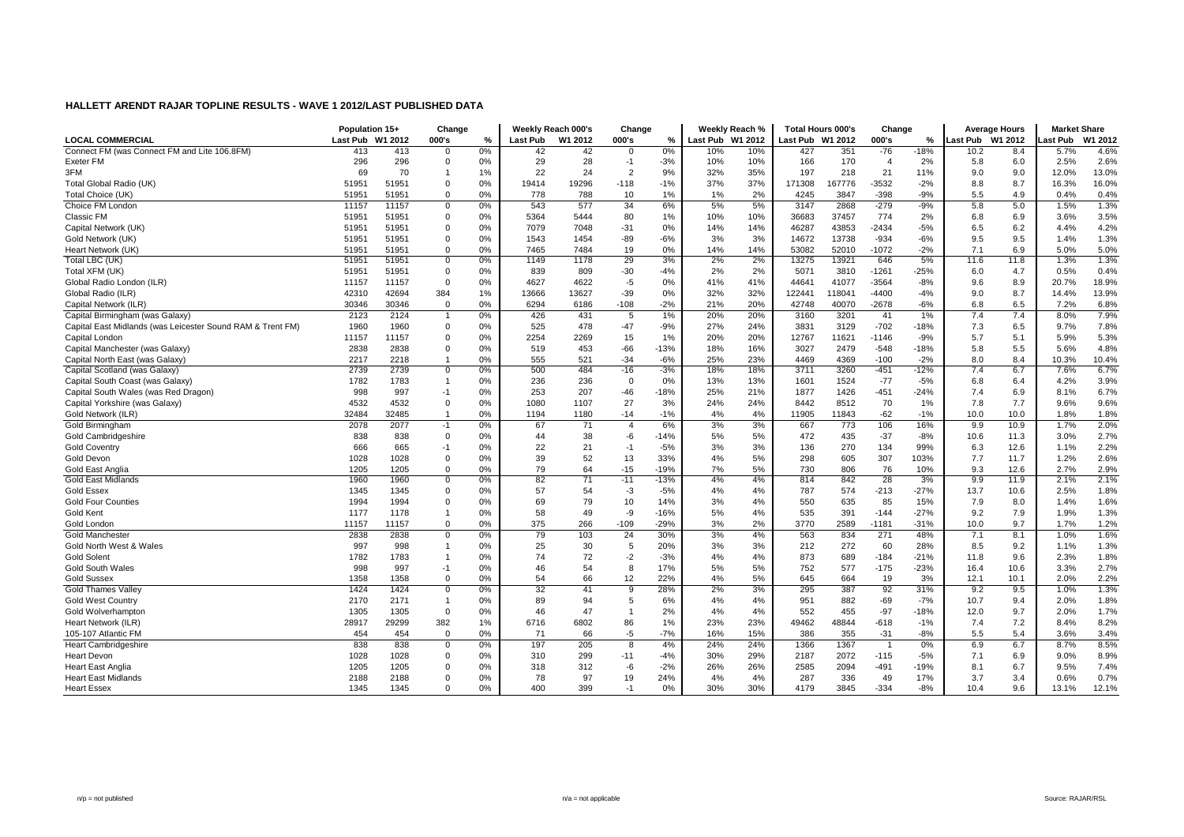|                                                            | Population 15+  |         | Change         |    |          | Weekly Reach 000's | Change         |               |                  | Weekly Reach % | <b>Total Hours 000's</b> |        | Change                  |        |          | <b>Average Hours</b> | <b>Market Share</b> |         |
|------------------------------------------------------------|-----------------|---------|----------------|----|----------|--------------------|----------------|---------------|------------------|----------------|--------------------------|--------|-------------------------|--------|----------|----------------------|---------------------|---------|
| <b>LOCAL COMMERCIAL</b>                                    | <b>Last Pub</b> | W1 2012 | 000's          | %  | Last Pub | W1 2012            | 000's          | $\frac{9}{6}$ | Last Pub W1 2012 |                | Last Pub W1 2012         |        | 000's                   | %      | Last Pub | W1 2012              | ast Pub             | W1 2012 |
| Connect FM (was Connect FM and Lite 106.8FM)               | 413             | 413     | $\overline{0}$ | 0% | 42       | 42                 | 0              | 0%            | 10%              | 10%            | 427                      | 351    | $-76$                   | $-18%$ | 10.2     | 8.4                  | 5.7%                | 4.6%    |
| Exeter FM                                                  | 296             | 296     | $\Omega$       | 0% | 29       | 28                 | $-1$           | $-3%$         | 10%              | 10%            | 166                      | 170    | $\overline{\mathbf{4}}$ | 2%     | 5.8      | 6.0                  | 2.5%                | 2.6%    |
| 3FM                                                        | 69              | 70      |                | 1% | 22       | 24                 | $\overline{2}$ | 9%            | 32%              | 35%            | 197                      | 218    | 21                      | 11%    | 9.0      | 9.0                  | 12.0%               | 13.0%   |
| Total Global Radio (UK)                                    | 51951           | 51951   | $\Omega$       | 0% | 19414    | 19296              | $-118$         | $-1%$         | 37%              | 37%            | 171308                   | 167776 | $-3532$                 | $-2%$  | 8.8      | 8.7                  | 16.3%               | 16.0%   |
| Total Choice (UK)                                          | 5195            | 51951   | $\Omega$       | 0% | 778      | 788                | 10             | 1%            | 1%               | 2%             | 4245                     | 3847   | $-398$                  | $-9%$  | 5.5      | 4.9                  | 0.4%                | 0.4%    |
| Choice FM London                                           | 11157           | 11157   | $\mathbf 0$    | 0% | 543      | 577                | 34             | 6%            | 5%               | 5%             | 3147                     | 2868   | $-279$                  | $-9%$  | 5.8      | 5.0                  | 1.5%                | 1.3%    |
| Classic FM                                                 | 51951           | 51951   | $\mathbf 0$    | 0% | 5364     | 5444               | 80             | 1%            | 10%              | 10%            | 36683                    | 37457  | 774                     | 2%     | 6.8      | 6.9                  | 3.6%                | 3.5%    |
| Capital Network (UK)                                       | 51951           | 51951   | $\mathbf 0$    | 0% | 7079     | 7048               | $-31$          | 0%            | 14%              | 14%            | 46287                    | 43853  | $-2434$                 | $-5%$  | 6.5      | 6.2                  | 4.4%                | 4.2%    |
| Gold Network (UK)                                          | 51951           | 51951   | $\mathbf 0$    | 0% | 1543     | 1454               | $-89$          | $-6%$         | 3%               | 3%             | 14672                    | 13738  | $-934$                  | $-6%$  | 9.5      | 9.5                  | 1.4%                | 1.3%    |
| Heart Network (UK)                                         | 5195            | 51951   | $\mathbf{0}$   | 0% | 7465     | 7484               | 19             | 0%            | 14%              | 14%            | 53082                    | 52010  | $-1072$                 | $-2%$  | 7.1      | 6.9                  | 5.0%                | 5.0%    |
| Total LBC (UK)                                             | 5195            | 51951   | $\mathbf 0$    | 0% | 1149     | 1178               | 29             | 3%            | 2%               | 2%             | 13275                    | 13921  | 646                     | 5%     | 11.6     | 11.8                 | 1.3%                | 1.3%    |
| Total XFM (UK)                                             | 51951           | 51951   | $\mathbf{0}$   | 0% | 839      | 809                | $-30$          | $-4%$         | 2%               | 2%             | 5071                     | 3810   | $-1261$                 | $-25%$ | 6.0      | 4.7                  | 0.5%                | 0.4%    |
| Global Radio London (ILR)                                  | 11157           | 11157   | $\Omega$       | 0% | 4627     | 4622               | -5             | 0%            | 41%              | 41%            | 44641                    | 41077  | $-3564$                 | $-8%$  | 9.6      | 8.9                  | 20.7%               | 18.9%   |
| Global Radio (ILR)                                         | 42310           | 42694   | 384            | 1% | 13666    | 13627              | $-39$          | 0%            | 32%              | 32%            | 122441                   | 118041 | -4400                   | $-4%$  | 9.0      | 8.7                  | 14.4%               | 13.9%   |
| Capital Network (ILR)                                      | 30346           | 30346   | $\mathbf{0}$   | 0% | 6294     | 6186               | $-108$         | $-2%$         | 21%              | 20%            | 42748                    | 40070  | $-2678$                 | $-6%$  | 6.8      | 6.5                  | 7.2%                | 6.8%    |
| Capital Birmingham (was Galaxy)                            | 2123            | 2124    |                | 0% | 426      | 431                | 5              | 1%            | 20%              | 20%            | 3160                     | 3201   | 41                      | 1%     | 7.4      | 7.4                  | 8.0%                | 7.9%    |
| Capital East Midlands (was Leicester Sound RAM & Trent FM) | 1960            | 1960    | $\mathbf 0$    | 0% | 525      | 478                | $-47$          | $-9%$         | 27%              | 24%            | 3831                     | 3129   | $-702$                  | $-18%$ | 7.3      | 6.5                  | 9.7%                | 7.8%    |
| Capital London                                             | 11157           | 11157   | $\Omega$       | 0% | 2254     | 2269               | 15             | 1%            | 20%              | 20%            | 12767                    | 11621  | $-1146$                 | $-9%$  | 5.7      | 5.1                  | 5.9%                | 5.3%    |
| Capital Manchester (was Galaxy)                            | 2838            | 2838    | $\mathbf 0$    | 0% | 519      | 453                | $-66$          | $-13%$        | 18%              | 16%            | 3027                     | 2479   | $-548$                  | $-18%$ | 5.8      | 5.5                  | 5.6%                | 4.8%    |
| Capital North East (was Galaxy)                            | 2217            | 2218    | $\overline{1}$ | 0% | 555      | 521                | $-34$          | $-6%$         | 25%              | 23%            | 4469                     | 4369   | $-100$                  | $-2%$  | 8.0      | 8.4                  | 10.3%               | 10.4%   |
| Capital Scotland (was Galaxy)                              | 2739            | 2739    | $\overline{0}$ | 0% | 500      | 484                | $-16$          | $-3%$         | 18%              | 18%            | 3711                     | 3260   | $-451$                  | $-12%$ | 7.4      | 6.7                  | 7.6%                | 6.7%    |
| Capital South Coast (was Galaxy)                           | 1782            | 1783    | $\overline{1}$ | 0% | 236      | 236                | $\mathbf 0$    | 0%            | 13%              | 13%            | 1601                     | 1524   | $-77$                   | $-5%$  | 6.8      | 6.4                  | 4.2%                | 3.9%    |
| Capital South Wales (was Red Dragon)                       | 998             | 997     | $-1$           | 0% | 253      | 207                | $-46$          | $-18%$        | 25%              | 21%            | 1877                     | 1426   | $-451$                  | $-24%$ | 7.4      | 6.9                  | 8.1%                | 6.7%    |
| Capital Yorkshire (was Galaxy)                             | 4532            | 4532    | $\mathbf 0$    | 0% | 1080     | 1107               | 27             | 3%            | 24%              | 24%            | 8442                     | 8512   | 70                      | 1%     | 7.8      | 7.7                  | 9.6%                | 9.6%    |
| Gold Network (ILR)                                         | 32484           | 32485   | $\overline{1}$ | 0% | 1194     | 1180               | $-14$          | $-1%$         | 4%               | 4%             | 11905                    | 11843  | $-62$                   | $-1%$  | 10.0     | 10.0                 | 1.8%                | 1.8%    |
| Gold Birmingham                                            | 2078            | 2077    | -1             | 0% | 67       | 71                 | $\overline{4}$ | 6%            | 3%               | 3%             | 667                      | 773    | 106                     | 16%    | 9.9      | 10.9                 | 1.7%                | 2.0%    |
| Gold Cambridgeshire                                        | 838             | 838     | $\mathbf{0}$   | 0% | 44       | 38                 | $-6$           | $-14%$        | 5%               | 5%             | 472                      | 435    | $-37$                   | $-8%$  | 10.6     | 11.3                 | 3.0%                | 2.7%    |
| <b>Gold Coventry</b>                                       | 666             | 665     | $-1$           | 0% | 22       | 21                 | $-1$           | $-5%$         | 3%               | 3%             | 136                      | 270    | 134                     | 99%    | 6.3      | 12.6                 | 1.1%                | 2.2%    |
| <b>Gold Devon</b>                                          | 1028            | 1028    | $\mathbf{0}$   | 0% | 39       | 52                 | 13             | 33%           | 4%               | 5%             | 298                      | 605    | 307                     | 103%   | 7.7      | 11.7                 | 1.2%                | 2.6%    |
| Gold East Anglia                                           | 1205            | 1205    | $\mathbf{0}$   | 0% | 79       | 64                 | $-15$          | $-19%$        | 7%               | 5%             | 730                      | 806    | 76                      | 10%    | 9.3      | 12.6                 | 2.7%                | 2.9%    |
| Gold East Midlands                                         | 1960            | 1960    | $\Omega$       | 0% | 82       | 71                 | $-11$          | $-13%$        | 4%               | 4%             | 814                      | 842    | 28                      | 3%     | 9.9      | 11.9                 | 2.1%                | 2.1%    |
| <b>Gold Essex</b>                                          | 1345            | 1345    | $\mathbf{0}$   | 0% | 57       | 54                 | $-3$           | $-5%$         | 4%               | 4%             | 787                      | 574    | $-213$                  | $-27%$ | 13.7     | 10.6                 | 2.5%                | 1.8%    |
| <b>Gold Four Counties</b>                                  | 1994            | 1994    | $\Omega$       | 0% | 69       | 79                 | 10             | 14%           | 3%               | 4%             | 550                      | 635    | 85                      | 15%    | 7.9      | 8.0                  | 1.4%                | 1.6%    |
| Gold Kent                                                  | 1177            | 1178    |                | 0% | 58       | 49                 | -9             | $-16%$        | 5%               | 4%             | 535                      | 391    | $-144$                  | $-27%$ | 9.2      | 7.9                  | 1.9%                | 1.3%    |
| Gold London                                                | 11157           | 11157   | $\mathbf{0}$   | 0% | 375      | 266                | $-109$         | $-29%$        | 3%               | 2%             | 3770                     | 2589   | $-1181$                 | $-31%$ | 10.0     | 9.7                  | 1.7%                | 1.2%    |
| Gold Manchester                                            | 2838            | 2838    | $\overline{0}$ | 0% | 79       | 103                | 24             | 30%           | 3%               | 4%             | 563                      | 834    | 271                     | 48%    | 7.1      | 8.1                  | 1.0%                | 1.6%    |
| Gold North West & Wales                                    | 997             | 998     |                | 0% | 25       | 30                 | 5              | 20%           | 3%               | 3%             | 212                      | 272    | 60                      | 28%    | 8.5      | 9.2                  | 1.1%                | 1.3%    |
| <b>Gold Solent</b>                                         | 1782            | 1783    | $\overline{1}$ | 0% | 74       | 72                 | $-2$           | $-3%$         | 4%               | 4%             | 873                      | 689    | $-184$                  | $-21%$ | 11.8     | 9.6                  | 2.3%                | 1.8%    |
| <b>Gold South Wales</b>                                    | 998             | 997     | $-1$           | 0% | 46       | 54                 | 8              | 17%           | 5%               | 5%             | 752                      | 577    | $-175$                  | $-23%$ | 16.4     | 10.6                 | 3.3%                | 2.7%    |
| <b>Gold Sussex</b>                                         | 1358            | 1358    | $\mathbf 0$    | 0% | 54       | 66                 | 12             | 22%           | 4%               | 5%             | 645                      | 664    | 19                      | 3%     | 12.1     | 10.1                 | 2.0%                | 2.2%    |
| <b>Gold Thames Valley</b>                                  | 1424            | 1424    | $\overline{0}$ | 0% | 32       | 41                 | -9             | 28%           | 2%               | 3%             | 295                      | 387    | 92                      | 31%    | 9.2      | 9.5                  | 1.0%                | 1.3%    |
| <b>Gold West Country</b>                                   | 2170            | 2171    | $\overline{1}$ | 0% | 89       | 94                 | 5              | 6%            | 4%               | 4%             | 951                      | 882    | $-69$                   | $-7%$  | 10.7     | 9.4                  | 2.0%                | 1.8%    |
| Gold Wolverhampton                                         | 1305            | 1305    | $\mathbf{0}$   | 0% | 46       | 47                 | $\mathbf{1}$   | 2%            | 4%               | 4%             | 552                      | 455    | $-97$                   | $-18%$ | 12.0     | 9.7                  | 2.0%                | 1.7%    |
| Heart Network (ILR)                                        | 28917           | 29299   | 382            | 1% | 6716     | 6802               | 86             | 1%            | 23%              | 23%            | 49462                    | 48844  | $-618$                  | $-1%$  | 7.4      | 7.2                  | 8.4%                | 8.2%    |
| 105-107 Atlantic FM                                        | 454             | 454     | $\mathbf{0}$   | 0% | 71       | 66                 | $-5$           | $-7%$         | 16%              | 15%            | 386                      | 355    | $-31$                   | $-8%$  | 5.5      | 5.4                  | 3.6%                | 3.4%    |
| <b>Heart Cambridgeshire</b>                                | 838             | 838     | $\mathbf 0$    | 0% | 197      | 205                | 8              | 4%            | 24%              | 24%            | 1366                     | 1367   |                         | 0%     | 6.9      | 6.7                  | 8.7%                | 8.5%    |
| <b>Heart Devon</b>                                         | 1028            | 1028    | $\overline{0}$ | 0% | 310      | 299                | $-11$          | $-4%$         | 30%              | 29%            | 2187                     | 2072   | $-115$                  | $-5%$  | 7.1      | 6.9                  | 9.0%                | 8.9%    |
| <b>Heart East Anglia</b>                                   | 1205            | 1205    | $\Omega$       | 0% | 318      | 312                | -6             | $-2%$         | 26%              | 26%            | 2585                     | 2094   | $-491$                  | $-19%$ | 8.1      | 6.7                  | 9.5%                | 7.4%    |
| <b>Heart East Midlands</b>                                 | 2188            | 2188    | $\Omega$       | 0% | 78       | 97                 | 19             | 24%           | 4%               | 4%             | 287                      | 336    | 49                      | 17%    | 3.7      | 3.4                  | 0.6%                | 0.7%    |
| <b>Heart Essex</b>                                         | 1345            | 1345    | $\Omega$       | 0% | 400      | 399                | $-1$           | 0%            | 30%              | 30%            | 4179                     | 3845   | $-334$                  | $-8%$  | 10.4     | 9.6                  | 13.1%               | 12.1%   |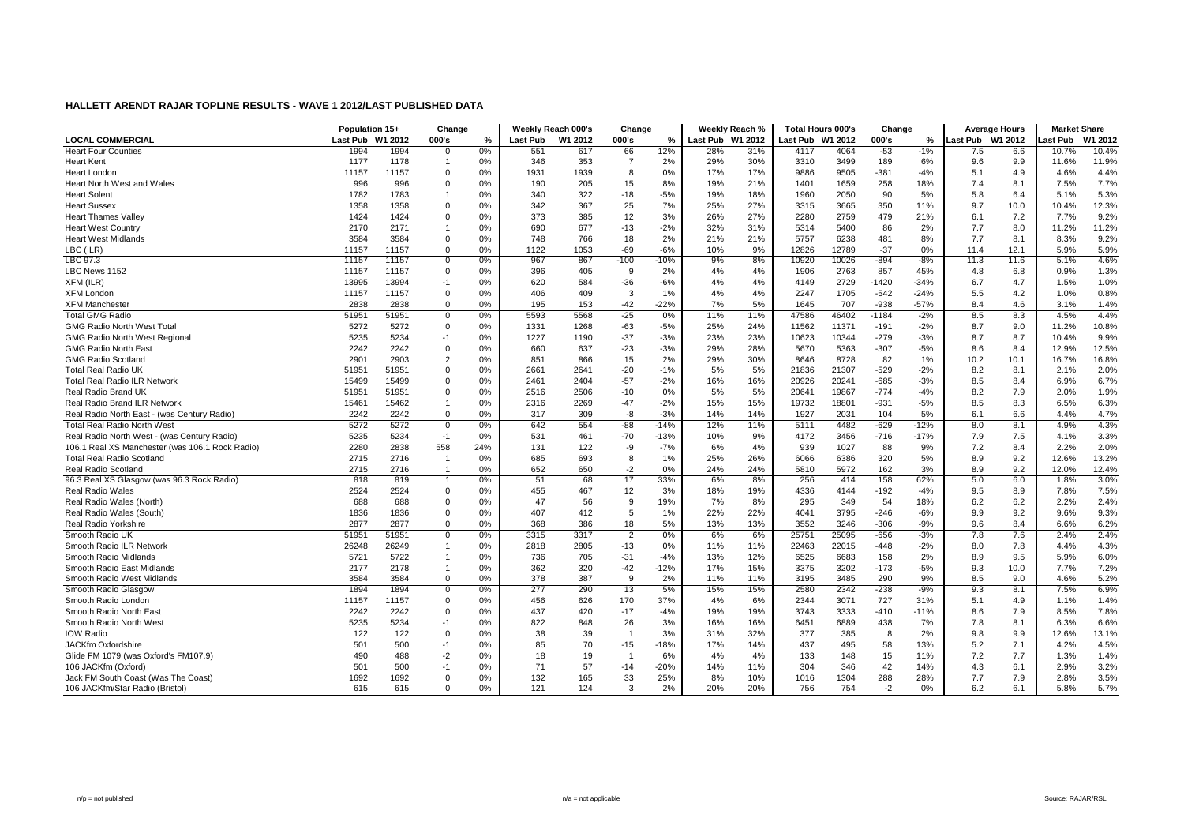|                                                 | Population 15+ |         | Change         |     |                 | Weekly Reach 000's | Change         |        |                  | Weekly Reach % | <b>Total Hours 000's</b> |       | Change  |        |                  | <b>Average Hours</b> | <b>Market Share</b> |         |
|-------------------------------------------------|----------------|---------|----------------|-----|-----------------|--------------------|----------------|--------|------------------|----------------|--------------------------|-------|---------|--------|------------------|----------------------|---------------------|---------|
| <b>LOCAL COMMERCIAL</b>                         | Last Pub       | W1 2012 | 000's          | %   | <b>Last Pub</b> | W1 2012            | 000's          | %      | Last Pub W1 2012 |                | Last Pub W1 2012         |       | 000's   | %      | Last Pub W1 2012 |                      | ast Pub             | W1 2012 |
| <b>Heart Four Counties</b>                      | 1994           | 1994    | 0              | 0%  | 551             | 617                | 66             | 12%    | 28%              | 31%            | 4117                     | 4064  | $-53$   | $-1%$  | 7.5              | 6.6                  | 10.7%               | 10.4%   |
| <b>Heart Kent</b>                               | 1177           | 1178    | -1             | 0%  | 346             | 353                | $\overline{7}$ | 2%     | 29%              | 30%            | 3310                     | 3499  | 189     | 6%     | 9.6              | 9.9                  | 11.6%               | 11.9%   |
| Heart London                                    | 11157          | 11157   | $\Omega$       | 0%  | 1931            | 1939               | 8              | 0%     | 17%              | 17%            | 9886                     | 9505  | $-381$  | $-4%$  | 5.1              | 4.9                  | 4.6%                | 4.4%    |
| <b>Heart North West and Wales</b>               | 996            | 996     | $\mathbf 0$    | 0%  | 190             | 205                | 15             | 8%     | 19%              | 21%            | 1401                     | 1659  | 258     | 18%    | 7.4              | 8.1                  | 7.5%                | 7.7%    |
| <b>Heart Solent</b>                             | 1782           | 1783    | $\overline{1}$ | 0%  | 340             | 322                | $-18$          | $-5%$  | 19%              | 18%            | 1960                     | 2050  | 90      | 5%     | 5.8              | 6.4                  | 5.1%                | 5.3%    |
| <b>Heart Sussex</b>                             | 1358           | 1358    | $\mathbf 0$    | 0%  | 342             | 367                | 25             | 7%     | 25%              | 27%            | 3315                     | 3665  | 350     | 11%    | 9.7              | 10.0                 | 10.4%               | 12.3%   |
| <b>Heart Thames Valley</b>                      | 1424           | 1424    | $\Omega$       | 0%  | 373             | 385                | 12             | 3%     | 26%              | 27%            | 2280                     | 2759  | 479     | 21%    | 6.1              | 7.2                  | 7.7%                | 9.2%    |
| <b>Heart West Country</b>                       | 2170           | 2171    |                | 0%  | 690             | 677                | $-13$          | $-2%$  | 32%              | 31%            | 5314                     | 5400  | 86      | 2%     | 7.7              | 8.0                  | 11.2%               | 11.2%   |
| <b>Heart West Midlands</b>                      | 3584           | 3584    | $\mathbf 0$    | 0%  | 748             | 766                | 18             | 2%     | 21%              | 21%            | 5757                     | 6238  | 481     | 8%     | 7.7              | 8.1                  | 8.3%                | 9.2%    |
| LBC (ILR)                                       | 11157          | 11157   | $\mathbf 0$    | 0%  | 1122            | 1053               | $-69$          | $-6%$  | 10%              | 9%             | 12826                    | 12789 | $-37$   | 0%     | 11.4             | 12.1                 | 5.9%                | 5.9%    |
| LBC 97.3                                        | 11157          | 11157   | $\mathbf 0$    | 0%  | 967             | 867                | $-100$         | $-10%$ | 9%               | 8%             | 10920                    | 10026 | $-894$  | $-8%$  | 11.3             | 11.6                 | 5.1%                | 4.6%    |
| LBC News 1152                                   | 11157          | 11157   | $\Omega$       | 0%  | 396             | 405                | 9              | 2%     | 4%               | 4%             | 1906                     | 2763  | 857     | 45%    | 4.8              | 6.8                  | 0.9%                | 1.3%    |
| XFM (ILR)                                       | 13995          | 13994   | $-1$           | 0%  | 620             | 584                | $-36$          | $-6%$  | 4%               | 4%             | 4149                     | 2729  | $-1420$ | $-34%$ | 6.7              | 4.7                  | 1.5%                | 1.0%    |
| <b>XFM London</b>                               | 11157          | 11157   | $\Omega$       | 0%  | 406             | 409                | 3              | 1%     | 4%               | 4%             | 2247                     | 1705  | $-542$  | $-24%$ | 5.5              | 4.2                  | 1.0%                | 0.8%    |
| <b>XFM Manchester</b>                           | 2838           | 2838    | $\mathbf 0$    | 0%  | 195             | 153                | $-42$          | $-22%$ | 7%               | 5%             | 1645                     | 707   | $-938$  | $-57%$ | 8.4              | 4.6                  | 3.1%                | 1.4%    |
| <b>Total GMG Radio</b>                          | 51951          | 51951   | $\mathbf 0$    | 0%  | 5593            | 5568               | $-25$          | 0%     | 11%              | 11%            | 47586                    | 46402 | $-1184$ | $-2%$  | 8.5              | 8.3                  | 4.5%                | 4.4%    |
| <b>GMG Radio North West Total</b>               | 5272           | 5272    | $\Omega$       | 0%  | 1331            | 1268               | $-63$          | $-5%$  | 25%              | 24%            | 11562                    | 11371 | $-191$  | $-2%$  | 8.7              | 9.0                  | 11.2%               | 10.8%   |
| <b>GMG Radio North West Regional</b>            | 5235           | 5234    | $-1$           | 0%  | 1227            | 1190               | $-37$          | $-3%$  | 23%              | 23%            | 10623                    | 10344 | $-279$  | $-3%$  | 8.7              | 8.7                  | 10.4%               | 9.9%    |
| <b>GMG Radio North East</b>                     | 2242           | 2242    | $\mathbf 0$    | 0%  | 660             | 637                | $-23$          | $-3%$  | 29%              | 28%            | 5670                     | 5363  | $-307$  | $-5%$  | 8.6              | 8.4                  | 12.9%               | 12.5%   |
| <b>GMG Radio Scotland</b>                       | 2901           | 2903    | $\overline{2}$ | 0%  | 851             | 866                | 15             | 2%     | 29%              | 30%            | 8646                     | 8728  | 82      | 1%     | 10.2             | 10.1                 | 16.7%               | 16.8%   |
| <b>Total Real Radio UK</b>                      | 51951          | 51951   | $\Omega$       | 0%  | 2661            | 2641               | $-20$          | $-1%$  | 5%               | 5%             | 21836                    | 21307 | $-529$  | $-2%$  | 8.2              | 8.1                  | 2.1%                | 2.0%    |
| <b>Total Real Radio ILR Network</b>             | 15499          | 15499   | $\Omega$       | 0%  | 2461            | 2404               | $-57$          | $-2%$  | 16%              | 16%            | 20926                    | 20241 | $-685$  | $-3%$  | 8.5              | 8.4                  | 6.9%                | 6.7%    |
| Real Radio Brand UK                             | 51951          | 51951   | $\mathbf 0$    | 0%  | 2516            | 2506               | $-10$          | 0%     | 5%               | 5%             | 20641                    | 19867 | $-774$  | $-4%$  | 8.2              | 7.9                  | 2.0%                | 1.9%    |
| Real Radio Brand ILR Network                    | 15461          | 15462   |                | 0%  | 2316            | 2269               | $-47$          | $-2%$  | 15%              | 15%            | 19732                    | 18801 | $-931$  | $-5%$  | 8.5              | 8.3                  | 6.5%                | 6.3%    |
| Real Radio North East - (was Century Radio)     | 2242           | 2242    | $\mathbf 0$    | 0%  | 317             | 309                | -8             | $-3%$  | 14%              | 14%            | 1927                     | 2031  | 104     | 5%     | 6.1              | 6.6                  | 4.4%                | 4.7%    |
| <b>Total Real Radio North West</b>              | 5272           | 5272    | $\mathbf 0$    | 0%  | 642             | 554                | $-88$          | $-14%$ | 12%              | 11%            | 5111                     | 4482  | $-629$  | $-12%$ | 8.0              | 8.1                  | 4.9%                | 4.3%    |
| Real Radio North West - (was Century Radio)     | 5235           | 5234    | $-1$           | 0%  | 531             | 461                | $-70$          | $-13%$ | 10%              | 9%             | 4172                     | 3456  | $-716$  | $-17%$ | 7.9              | 7.5                  | 4.1%                | 3.3%    |
| 106.1 Real XS Manchester (was 106.1 Rock Radio) | 2280           | 2838    | 558            | 24% | 131             | 122                | -9             | $-7%$  | 6%               | 4%             | 939                      | 1027  | 88      | 9%     | 7.2              | 8.4                  | 2.2%                | 2.0%    |
| <b>Total Real Radio Scotland</b>                | 2715           | 2716    | -1             | 0%  | 685             | 693                | 8              | 1%     | 25%              | 26%            | 6066                     | 6386  | 320     | 5%     | 8.9              | 9.2                  | 12.6%               | 13.2%   |
| Real Radio Scotland                             | 2715           | 2716    |                | 0%  | 652             | 650                | $-2$           | 0%     | 24%              | 24%            | 5810                     | 5972  | 162     | 3%     | 8.9              | 9.2                  | 12.0%               | 12.4%   |
| 96.3 Real XS Glasgow (was 96.3 Rock Radio)      | 818            | 819     |                | 0%  | 51              | 68                 | 17             | 33%    | 6%               | 8%             | 256                      | 414   | 158     | 62%    | 5.0              | 6.0                  | 1.8%                | 3.0%    |
| Real Radio Wales                                | 2524           | 2524    | $\Omega$       | 0%  | 455             | 467                | 12             | 3%     | 18%              | 19%            | 4336                     | 4144  | $-192$  | $-4%$  | 9.5              | 8.9                  | 7.8%                | 7.5%    |
| Real Radio Wales (North)                        | 688            | 688     | $\Omega$       | 0%  | 47              | 56                 | 9              | 19%    | 7%               | 8%             | 295                      | 349   | 54      | 18%    | 6.2              | 6.2                  | 2.2%                | 2.4%    |
| Real Radio Wales (South)                        | 1836           | 1836    | $\mathbf 0$    | 0%  | 407             | 412                | 5              | 1%     | 22%              | 22%            | 4041                     | 3795  | $-246$  | $-6%$  | 9.9              | 9.2                  | 9.6%                | 9.3%    |
| Real Radio Yorkshire                            | 2877           | 2877    | $\mathbf 0$    | 0%  | 368             | 386                | 18             | 5%     | 13%              | 13%            | 3552                     | 3246  | $-306$  | $-9%$  | 9.6              | 8.4                  | 6.6%                | 6.2%    |
| Smooth Radio UK                                 | 51951          | 51951   | $\Omega$       | 0%  | 3315            | 3317               | $\overline{2}$ | 0%     | 6%               | 6%             | 25751                    | 25095 | $-656$  | $-3%$  | 7.8              | 7.6                  | 2.4%                | 2.4%    |
| Smooth Radio ILR Network                        | 26248          | 26249   |                | 0%  | 2818            | 2805               | $-13$          | 0%     | 11%              | 11%            | 22463                    | 22015 | $-448$  | $-2%$  | 8.0              | 7.8                  | 4.4%                | 4.3%    |
| Smooth Radio Midlands                           | 5721           | 5722    |                | 0%  | 736             | 705                | $-31$          | $-4%$  | 13%              | 12%            | 6525                     | 6683  | 158     | 2%     | 8.9              | 9.5                  | 5.9%                | 6.0%    |
| Smooth Radio East Midlands                      | 2177           | 2178    | $\overline{1}$ | 0%  | 362             | 320                | $-42$          | $-12%$ | 17%              | 15%            | 3375                     | 3202  | $-173$  | $-5%$  | 9.3              | 10.0                 | 7.7%                | 7.2%    |
| Smooth Radio West Midlands                      | 3584           | 3584    | $\mathbf 0$    | 0%  | 378             | 387                | 9              | 2%     | 11%              | 11%            | 3195                     | 3485  | 290     | 9%     | 8.5              | 9.0                  | 4.6%                | 5.2%    |
| Smooth Radio Glasgov                            | 1894           | 1894    | $\mathbf 0$    | 0%  | 277             | 290                | 13             | 5%     | 15%              | 15%            | 2580                     | 2342  | $-238$  | $-9%$  | 9.3              | 8.1                  | 7.5%                | 6.9%    |
| Smooth Radio London                             | 11157          | 11157   | $\mathbf 0$    | 0%  | 456             | 626                | 170            | 37%    | 4%               | 6%             | 2344                     | 3071  | 727     | 31%    | 5.1              | 4.9                  | 1.1%                | 1.4%    |
| Smooth Radio North East                         | 2242           | 2242    | $\Omega$       | 0%  | 437             | 420                | $-17$          | $-4%$  | 19%              | 19%            | 3743                     | 3333  | $-410$  | $-11%$ | 8.6              | 7.9                  | 8.5%                | 7.8%    |
| Smooth Radio North West                         | 5235           | 5234    | $-1$           | 0%  | 822             | 848                | 26             | 3%     | 16%              | 16%            | 6451                     | 6889  | 438     | 7%     | 7.8              | 8.1                  | 6.3%                | 6.6%    |
| <b>IOW Radio</b>                                | 122            | 122     | $\mathbf 0$    | 0%  | 38              | 39                 | $\overline{1}$ | 3%     | 31%              | 32%            | 377                      | 385   | 8       | 2%     | 9.8              | 9.9                  | 12.6%               | 13.1%   |
| JACKfm Oxfordshire                              | 501            | 500     | $-1$           | 0%  | 85              | 70                 | $-15$          | $-18%$ | 17%              | 14%            | 437                      | 495   | 58      | 13%    | 5.2              | 7.1                  | 4.2%                | 4.5%    |
| Glide FM 1079 (was Oxford's FM107.9)            | 490            | 488     | $-2$           | 0%  | 18              | 19                 | $\mathbf{1}$   | 6%     | 4%               | 4%             | 133                      | 148   | 15      | 11%    | 7.2              | 7.7                  | 1.3%                | 1.4%    |
| 106 JACKfm (Oxford)                             | 501            | 500     | $-1$           | 0%  | 71              | 57                 | $-14$          | $-20%$ | 14%              | 11%            | 304                      | 346   | 42      | 14%    | 4.3              | 6.1                  | 2.9%                | 3.2%    |
| Jack FM South Coast (Was The Coast)             | 1692           | 1692    | $\Omega$       | 0%  | 132             | 165                | 33             | 25%    | 8%               | 10%            | 1016                     | 1304  | 288     | 28%    | 7.7              | 7.9                  | 2.8%                | 3.5%    |
| 106 JACKfm/Star Radio (Bristol)                 | 615            | 615     | $\Omega$       | 0%  | 121             | 124                | 3              | 2%     | 20%              | 20%            | 756                      | 754   | $-2$    | 0%     | 6.2              | 6.1                  | 5.8%                | 5.7%    |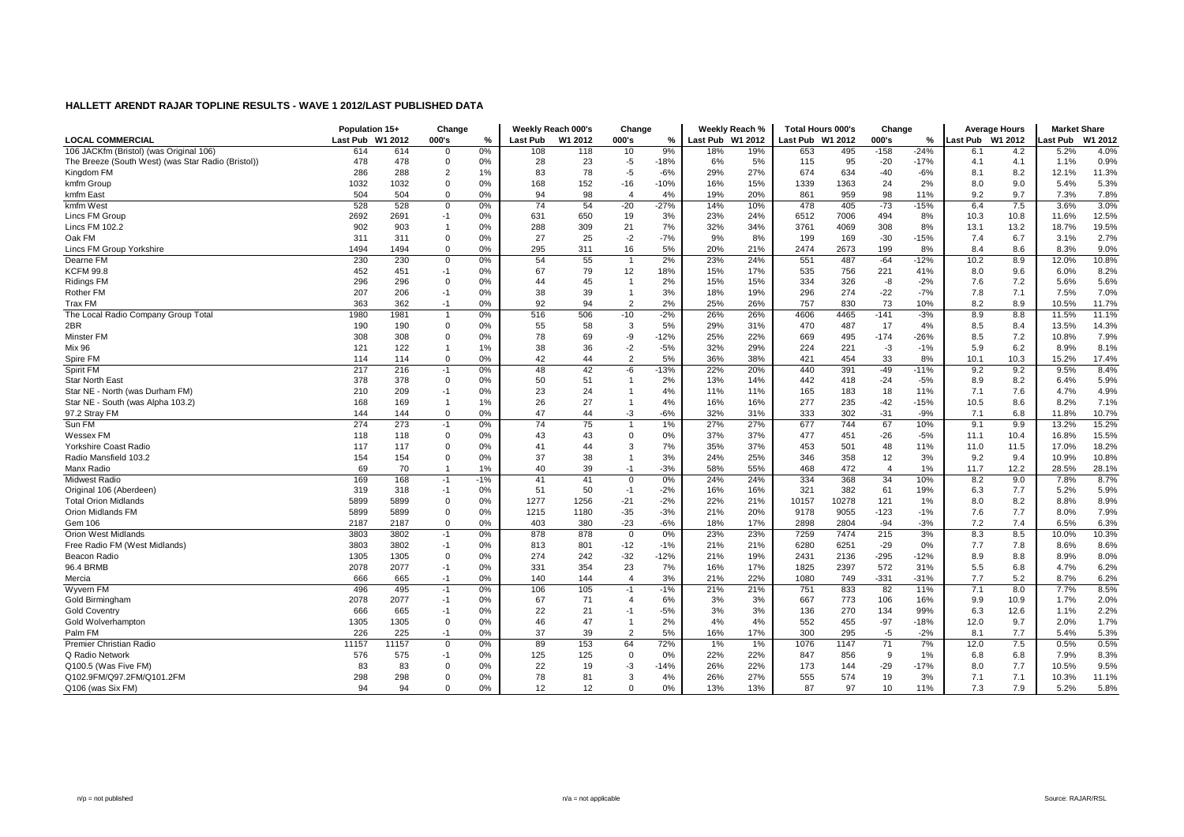|                                                    | Population 15+   |       | Change         |       | Weekly Reach 000's |         | Change         |        |                  | Weekly Reach % | <b>Total Hours 000's</b> |       | Change         |               | <b>Average Hours</b> |      | <b>Market Share</b> |         |
|----------------------------------------------------|------------------|-------|----------------|-------|--------------------|---------|----------------|--------|------------------|----------------|--------------------------|-------|----------------|---------------|----------------------|------|---------------------|---------|
| <b>LOCAL COMMERCIAL</b>                            | Last Pub W1 2012 |       | 000's          | %     | <b>Last Pub</b>    | W1 2012 | 000's          | %      | Last Pub W1 2012 |                | Last Pub W1 2012         |       | 000's          | $\frac{9}{6}$ | Last Pub W1 2012     |      | Last Pub            | W1 2012 |
| 106 JACKfm (Bristol) (was Original 106)            | 614              | 614   | 0              | 0%    | 108                | 118     | 10             | 9%     | 18%              | 19%            | 653                      | 495   | $-158$         | $-24%$        | 6.1                  | 4.2  | 5.2%                | 4.0%    |
| The Breeze (South West) (was Star Radio (Bristol)) | 478              | 478   | $\mathbf 0$    | 0%    | 28                 | 23      | $-5$           | $-18%$ | 6%               | 5%             | 115                      | 95    | $-20$          | $-17%$        | 4.1                  | 4.1  | 1.1%                | 0.9%    |
| Kingdom FM                                         | 286              | 288   | $\overline{2}$ | 1%    | 83                 | 78      | $-5$           | $-6%$  | 29%              | 27%            | 674                      | 634   | $-40$          | $-6%$         | 8.1                  | 8.2  | 12.1%               | 11.3%   |
| kmfm Group                                         | 1032             | 1032  | $\Omega$       | 0%    | 168                | 152     | $-16$          | $-10%$ | 16%              | 15%            | 1339                     | 1363  | 24             | 2%            | 8.0                  | 9.0  | 5.4%                | 5.3%    |
| kmfm East                                          | 504              | 504   | $\overline{0}$ | 0%    | 94                 | 98      | $\overline{4}$ | 4%     | 19%              | 20%            | 861                      | 959   | 98             | 11%           | 9.2                  | 9.7  | 7.3%                | 7.8%    |
| kmfm West                                          | 528              | 528   | $\Omega$       | 0%    | 74                 | 54      | $-20$          | $-27%$ | 14%              | 10%            | 478                      | 405   | $-73$          | $-15%$        | 6.4                  | 7.5  | 3.6%                | 3.0%    |
| Lincs FM Group                                     | 2692             | 2691  | -1             | 0%    | 631                | 650     | 19             | 3%     | 23%              | 24%            | 6512                     | 7006  | 494            | 8%            | 10.3                 | 10.8 | 11.6%               | 12.5%   |
| Lincs FM 102.2                                     | 902              | 903   |                | 0%    | 288                | 309     | 21             | 7%     | 32%              | 34%            | 3761                     | 4069  | 308            | 8%            | 13.1                 | 13.2 | 18.7%               | 19.5%   |
| Oak FM                                             | 311              | 311   | $\Omega$       | 0%    | 27                 | 25      | $-2$           | $-7%$  | 9%               | 8%             | 199                      | 169   | $-30$          | -15%          | 7.4                  | 6.7  | 3.1%                | 2.7%    |
| Lincs FM Group Yorkshire                           | 1494             | 1494  | $\Omega$       | 0%    | 295                | 311     | 16             | 5%     | 20%              | 21%            | 2474                     | 2673  | 199            | 8%            | 8.4                  | 8.6  | 8.3%                | 9.0%    |
| Dearne FM                                          | 230              | 230   | $\Omega$       | 0%    | 54                 | 55      |                | 2%     | 23%              | 24%            | 551                      | 487   | $-64$          | $-12%$        | 10.2                 | 8.9  | 12.0%               | 10.8%   |
| <b>KCFM 99.8</b>                                   | 452              | 451   | $-1$           | 0%    | 67                 | 79      | 12             | 18%    | 15%              | 17%            | 535                      | 756   | 221            | 41%           | 8.0                  | 9.6  | 6.0%                | 8.2%    |
| <b>Ridings FM</b>                                  | 296              | 296   | $\Omega$       | 0%    | 44                 | 45      | $\mathbf{1}$   | 2%     | 15%              | 15%            | 334                      | 326   | -8             | $-2%$         | 7.6                  | 7.2  | 5.6%                | 5.6%    |
| Rother FM                                          | 207              | 206   | $-1$           | 0%    | 38                 | 39      | -1             | 3%     | 18%              | 19%            | 296                      | 274   | $-22$          | $-7%$         | 7.8                  | 7.1  | 7.5%                | 7.0%    |
| <b>Trax FM</b>                                     | 363              | 362   | $-1$           | 0%    | 92                 | 94      | $\overline{2}$ | 2%     | 25%              | 26%            | 757                      | 830   | 73             | 10%           | 8.2                  | 8.9  | 10.5%               | 11.7%   |
| The Local Radio Company Group Total                | 1980             | 1981  |                | 0%    | 516                | 506     | $-10$          | $-2%$  | 26%              | 26%            | 4606                     | 4465  | $-141$         | $-3%$         | 8.9                  | 8.8  | 11.5%               | 11.1%   |
| 2BR                                                | 190              | 190   | $\Omega$       | 0%    | 55                 | 58      | 3              | 5%     | 29%              | 31%            | 470                      | 487   | 17             | 4%            | 8.5                  | 8.4  | 13.5%               | 14.3%   |
| Minster FM                                         | 308              | 308   | $\Omega$       | 0%    | 78                 | 69      | -9             | $-12%$ | 25%              | 22%            | 669                      | 495   | $-174$         | -26%          | 8.5                  | 7.2  | 10.8%               | 7.9%    |
| Mix 96                                             | 121              | 122   | $\overline{1}$ | 1%    | 38                 | 36      | $-2$           | $-5%$  | 32%              | 29%            | 224                      | 221   | $-3$           | $-1%$         | 5.9                  | 6.2  | 8.9%                | 8.1%    |
| Spire FM                                           | 114              | 114   | $\mathbf 0$    | 0%    | 42                 | 44      | $\overline{2}$ | 5%     | 36%              | 38%            | 421                      | 454   | 33             | 8%            | 10.1                 | 10.3 | 15.2%               | 17.4%   |
| Spirit FM                                          | 217              | 216   | $-1$           | 0%    | 48                 | 42      | -6             | $-13%$ | 22%              | 20%            | 440                      | 391   | $-49$          | $-11%$        | 9.2                  | 9.2  | 9.5%                | 8.4%    |
| <b>Star North East</b>                             | 378              | 378   | $\mathbf 0$    | 0%    | 50                 | 51      | $\mathbf{1}$   | 2%     | 13%              | 14%            | 442                      | 418   | $-24$          | $-5%$         | 8.9                  | 8.2  | 6.4%                | 5.9%    |
| Star NE - North (was Durham FM)                    | 210              | 209   | $-1$           | 0%    | 23                 | 24      |                | 4%     | 11%              | 11%            | 165                      | 183   | 18             | 11%           | 7.1                  | 7.6  | 4.7%                | 4.9%    |
| Star NE - South (was Alpha 103.2)                  | 168              | 169   | $\overline{1}$ | 1%    | 26                 | 27      | $\mathbf{1}$   | 4%     | 16%              | 16%            | 277                      | 235   | $-42$          | $-15%$        | 10.5                 | 8.6  | 8.2%                | 7.1%    |
| 97.2 Stray FM                                      | 144              | 144   | $\mathbf 0$    | 0%    | 47                 | 44      | $-3$           | $-6%$  | 32%              | 31%            | 333                      | 302   | $-31$          | $-9%$         | 7.1                  | 6.8  | 11.8%               | 10.7%   |
| Sun FM                                             | 274              | 273   | $-1$           | 0%    | 74                 | 75      | $\mathbf{1}$   | 1%     | 27%              | 27%            | 677                      | 744   | 67             | 10%           | 9.1                  | 9.9  | 13.2%               | 15.2%   |
| Wessex FM                                          | 118              | 118   | $\Omega$       | 0%    | 43                 | 43      | $\Omega$       | 0%     | 37%              | 37%            | 477                      | 451   | $-26$          | $-5%$         | 11.1                 | 10.4 | 16.8%               | 15.5%   |
| <b>Yorkshire Coast Radio</b>                       | 117              | 117   | $\Omega$       | 0%    | 41                 | 44      | 3              | 7%     | 35%              | 37%            | 453                      | 501   | 48             | 11%           | 11.0                 | 11.5 | 17.0%               | 18.2%   |
| Radio Mansfield 103.2                              | 154              | 154   | $\mathbf 0$    | 0%    | 37                 | 38      | $\overline{1}$ | 3%     | 24%              | 25%            | 346                      | 358   | 12             | 3%            | 9.2                  | 9.4  | 10.9%               | 10.8%   |
| Manx Radio                                         | 69               | 70    |                | 1%    | 40                 | 39      | $-1$           | $-3%$  | 58%              | 55%            | 468                      | 472   | $\overline{4}$ | 1%            | 11.7                 | 12.2 | 28.5%               | 28.1%   |
| <b>Midwest Radio</b>                               | 169              | 168   | $-1$           | $-1%$ | 41                 | 41      | $\Omega$       | 0%     | 24%              | 24%            | 334                      | 368   | 34             | 10%           | 8.2                  | 9.0  | 7.8%                | 8.7%    |
| Original 106 (Aberdeen)                            | 319              | 318   | $-1$           | 0%    | 51                 | 50      | $-1$           | $-2%$  | 16%              | 16%            | 321                      | 382   | 61             | 19%           | 6.3                  | 7.7  | 5.2%                | 5.9%    |
| <b>Total Orion Midlands</b>                        | 5899             | 5899  | $\Omega$       | 0%    | 1277               | 1256    | $-21$          | $-2%$  | 22%              | 21%            | 10157                    | 10278 | 121            | 1%            | 8.0                  | 8.2  | 8.8%                | 8.9%    |
| Orion Midlands FM                                  | 5899             | 5899  | $\mathbf 0$    | 0%    | 1215               | 1180    | $-35$          | $-3%$  | 21%              | 20%            | 9178                     | 9055  | $-123$         | $-1%$         | 7.6                  | 7.7  | 8.0%                | 7.9%    |
| Gem 106                                            | 2187             | 2187  | $\mathbf 0$    | 0%    | 403                | 380     | $-23$          | $-6%$  | 18%              | 17%            | 2898                     | 2804  | $-94$          | $-3%$         | 7.2                  | 7.4  | 6.5%                | 6.3%    |
| <b>Orion West Midlands</b>                         | 3803             | 3802  | $-1$           | 0%    | 878                | 878     | $\mathbf 0$    | 0%     | 23%              | 23%            | 7259                     | 7474  | 215            | 3%            | 8.3                  | 8.5  | 10.0%               | 10.3%   |
| Free Radio FM (West Midlands)                      | 3803             | 3802  | $-1$           | 0%    | 813                | 801     | $-12$          | $-1%$  | 21%              | 21%            | 6280                     | 6251  | $-29$          | 0%            | 7.7                  | 7.8  | 8.6%                | 8.6%    |
| Beacon Radio                                       | 1305             | 1305  | $\Omega$       | 0%    | 274                | 242     | $-32$          | $-12%$ | 21%              | 19%            | 2431                     | 2136  | $-295$         | $-12%$        | 8.9                  | 8.8  | 8.9%                | 8.0%    |
| 96.4 BRMB                                          | 2078             | 2077  | $-1$           | 0%    | 331                | 354     | 23             | 7%     | 16%              | 17%            | 1825                     | 2397  | 572            | 31%           | 5.5                  | 6.8  | 4.7%                | 6.2%    |
| Mercia                                             | 666              | 665   | $-1$           | 0%    | 140                | 144     | $\overline{4}$ | 3%     | 21%              | 22%            | 1080                     | 749   | $-331$         | $-31%$        | 7.7                  | 5.2  | 8.7%                | 6.2%    |
| Wyvern FM                                          | 496              | 495   | $-1$           | 0%    | 106                | 105     | $-1$           | $-1%$  | 21%              | 21%            | 751                      | 833   | 82             | 11%           | 7.1                  | 8.0  | 7.7%                | 8.5%    |
| Gold Birmingham                                    | 2078             | 2077  | $-1$           | 0%    | 67                 | 71      | $\overline{4}$ | 6%     | 3%               | 3%             | 667                      | 773   | 106            | 16%           | 9.9                  | 10.9 | 1.7%                | 2.0%    |
| <b>Gold Coventry</b>                               | 666              | 665   | $-1$           | 0%    | 22                 | 21      | $-1$           | $-5%$  | 3%               | 3%             | 136                      | 270   | 134            | 99%           | 6.3                  | 12.6 | 1.1%                | 2.2%    |
| Gold Wolverhampton                                 | 1305             | 1305  | $\mathbf 0$    | 0%    | 46                 | 47      | -1             | 2%     | 4%               | 4%             | 552                      | 455   | $-97$          | $-18%$        | 12.0                 | 9.7  | 2.0%                | 1.7%    |
| Palm FM                                            | 226              | 225   | $-1$           | 0%    | 37                 | 39      | $\overline{2}$ | 5%     | 16%              | 17%            | 300                      | 295   | $-5$           | $-2%$         | 8.1                  | 7.7  | 5.4%                | 5.3%    |
| Premier Christian Radio                            | 11157            | 11157 | $\mathbf 0$    | 0%    | 89                 | 153     | 64             | 72%    | 1%               | 1%             | 1076                     | 1147  | 71             | 7%            | 12.0                 | 7.5  | 0.5%                | 0.5%    |
| Q Radio Network                                    | 576              | 575   | $-1$           | 0%    | 125                | 125     | $\Omega$       | 0%     | 22%              | 22%            | 847                      | 856   | 9              | 1%            | 6.8                  | 6.8  | 7.9%                | 8.3%    |
| Q100.5 (Was Five FM)                               | 83               | 83    | $\Omega$       | 0%    | 22                 | 19      | -3             | $-14%$ | 26%              | 22%            | 173                      | 144   | $-29$          | $-17%$        | 8.0                  | 7.7  | 10.5%               | 9.5%    |
| Q102.9FM/Q97.2FM/Q101.2FM                          | 298              | 298   | $\Omega$       | 0%    | 78                 | 81      | 3              | 4%     | 26%              | 27%            | 555                      | 574   | 19             | 3%            | 7.1                  | 7.1  | 10.3%               | 11.1%   |
| Q106 (was Six FM)                                  | 94               | 94    | $\Omega$       | 0%    | 12                 | 12      | $\Omega$       | 0%     | 13%              | 13%            | 87                       | 97    | 10             | 11%           | 7.3                  | 7.9  | 5.2%                | 5.8%    |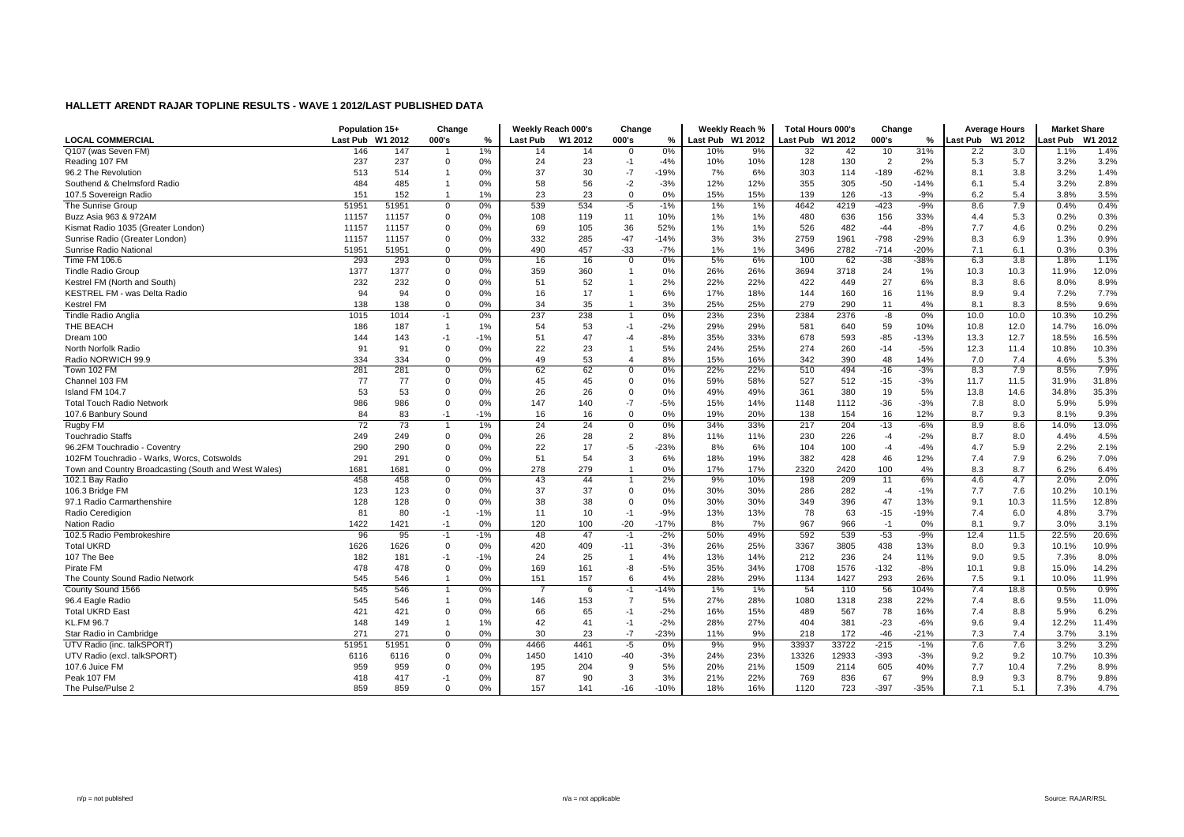|                                                      | Population 15+  |         | Change         |       | Weekly Reach 000's |         | Change                  |        | Weekly Reach %   |     | <b>Total Hours 000's</b> |       | Change         |        | <b>Average Hours</b> |      | <b>Market Share</b> |         |
|------------------------------------------------------|-----------------|---------|----------------|-------|--------------------|---------|-------------------------|--------|------------------|-----|--------------------------|-------|----------------|--------|----------------------|------|---------------------|---------|
| <b>LOCAL COMMERCIAL</b>                              | <b>Last Pub</b> | W1 2012 | 000's          | %     | Last Pub           | W1 2012 | 000's                   | $\%$   | Last Pub W1 2012 |     | Last Pub W1 2012         |       | 000's          | %      | Last Pub W1 2012     |      | Last Pub            | W1 2012 |
| Q107 (was Seven FM)                                  | 146             | 147     |                | 1%    | 14                 | 14      | $\mathbf 0$             | 0%     | 10%              | 9%  | 32                       | 42    | 10             | 31%    | 2.2                  | 3.0  | 1.1%                | 1.4%    |
| Reading 107 FM                                       | 237             | 237     | $\Omega$       | 0%    | 24                 | 23      | $-1$                    | $-4%$  | 10%              | 10% | 128                      | 130   | $\overline{2}$ | 2%     | 5.3                  | 5.7  | 3.2%                | 3.2%    |
| 96.2 The Revolution                                  | 513             | 514     |                | 0%    | 37                 | 30      | $-7$                    | $-19%$ | 7%               | 6%  | 303                      | 114   | $-189$         | $-62%$ | 8.1                  | 3.8  | 3.2%                | 1.4%    |
| Southend & Chelmsford Radio                          | 484             | 485     |                | 0%    | 58                 | 56      | $-2$                    | $-3%$  | 12%              | 12% | 355                      | 305   | $-50$          | $-14%$ | 6.1                  | 5.4  | 3.2%                | 2.8%    |
| 107.5 Sovereign Radio                                | 151             | 152     | $\overline{1}$ | 1%    | 23                 | 23      | $\mathbf 0$             | 0%     | 15%              | 15% | 139                      | 126   | $-13$          | $-9%$  | 6.2                  | 5.4  | 3.8%                | 3.5%    |
| The Sunrise Group                                    | 51951           | 51951   | $\Omega$       | 0%    | 539                | 534     | $-5$                    | $-1%$  | 1%               | 1%  | 4642                     | 4219  | $-423$         | $-9%$  | 8.6                  | 7.9  | 0.4%                | 0.4%    |
| Buzz Asia 963 & 972AM                                | 11157           | 11157   | $\Omega$       | 0%    | 108                | 119     | 11                      | 10%    | 1%               | 1%  | 480                      | 636   | 156            | 33%    | 4.4                  | 5.3  | 0.2%                | 0.3%    |
| Kismat Radio 1035 (Greater London)                   | 11157           | 11157   | $\Omega$       | 0%    | 69                 | 105     | 36                      | 52%    | 1%               | 1%  | 526                      | 482   | $-44$          | $-8%$  | 7.7                  | 4.6  | 0.2%                | 0.2%    |
| Sunrise Radio (Greater London)                       | 11157           | 11157   | $\Omega$       | 0%    | 332                | 285     | $-47$                   | $-14%$ | 3%               | 3%  | 2759                     | 1961  | $-798$         | $-29%$ | 8.3                  | 6.9  | 1.3%                | 0.9%    |
| Sunrise Radio National                               | 51951           | 51951   | $\Omega$       | 0%    | 490                | 457     | $-33$                   | $-7%$  | 1%               | 1%  | 3496                     | 2782  | $-714$         | $-20%$ | 7.1                  | 6.1  | 0.3%                | 0.3%    |
| Time FM 106.6                                        | 293             | 293     | 0              | 0%    | 16                 | 16      | $\mathbf 0$             | 0%     | 5%               | 6%  | 100                      | 62    | $-38$          | $-38%$ | 6.3                  | 3.8  | 1.8%                | 1.1%    |
| <b>Tindle Radio Group</b>                            | 1377            | 1377    | $\Omega$       | 0%    | 359                | 360     | $\overline{1}$          | 0%     | 26%              | 26% | 3694                     | 3718  | 24             | 1%     | 10.3                 | 10.3 | 11.9%               | 12.0%   |
| Kestrel FM (North and South)                         | 232             | 232     | $\Omega$       | 0%    | 51                 | 52      | $\overline{1}$          | 2%     | 22%              | 22% | 422                      | 449   | 27             | 6%     | 8.3                  | 8.6  | 8.0%                | 8.9%    |
| KESTREL FM - was Delta Radio                         | 94              | 94      | $\Omega$       | 0%    | 16                 | 17      | $\overline{1}$          | 6%     | 17%              | 18% | 144                      | 160   | 16             | 11%    | 8.9                  | 9.4  | 7.2%                | 7.7%    |
| Kestrel FM                                           | 138             | 138     | $\Omega$       | 0%    | 34                 | 35      | $\overline{1}$          | 3%     | 25%              | 25% | 279                      | 290   | 11             | 4%     | 8.1                  | 8.3  | 8.5%                | 9.6%    |
| <b>Tindle Radio Anglia</b>                           | 1015            | 1014    | $-1$           | 0%    | 237                | 238     |                         | 0%     | 23%              | 23% | 2384                     | 2376  | $-8$           | 0%     | 10.0                 | 10.0 | 10.3%               | 10.2%   |
| THE BEACH                                            | 186             | 187     | $\overline{1}$ | 1%    | 54                 | 53      | $-1$                    | $-2%$  | 29%              | 29% | 581                      | 640   | 59             | 10%    | 10.8                 | 12.0 | 14.7%               | 16.0%   |
| Dream 100                                            | 144             | 143     | $-1$           | $-1%$ | 51                 | 47      | $-4$                    | $-8%$  | 35%              | 33% | 678                      | 593   | $-85$          | $-13%$ | 13.3                 | 12.7 | 18.5%               | 16.5%   |
| North Norfolk Radio                                  | 91              | 91      | $\Omega$       | 0%    | 22                 | 23      | $\overline{1}$          | 5%     | 24%              | 25% | 274                      | 260   | $-14$          | $-5%$  | 12.3                 | 11.4 | 10.8%               | 10.3%   |
| Radio NORWICH 99.9                                   | 334             | 334     | $\Omega$       | 0%    | 49                 | 53      | $\overline{4}$          | 8%     | 15%              | 16% | 342                      | 390   | 48             | 14%    | 7.0                  | 7.4  | 4.6%                | 5.3%    |
| Town 102 FM                                          | 281             | 281     | $\Omega$       | 0%    | 62                 | 62      | $\overline{0}$          | 0%     | 22%              | 22% | 510                      | 494   | $-16$          | $-3%$  | 8.3                  | 7.9  | 8.5%                | 7.9%    |
| Channel 103 FM                                       | 77              | 77      | $\Omega$       | 0%    | 45                 | 45      | $\mathbf 0$             | 0%     | 59%              | 58% | 527                      | 512   | $-15$          | $-3%$  | 11.7                 | 11.5 | 31.9%               | 31.8%   |
| Island FM 104.7                                      | 53              | 53      | $\Omega$       | 0%    | 26                 | 26      | $\mathbf 0$             | 0%     | 49%              | 49% | 361                      | 380   | 19             | 5%     | 13.8                 | 14.6 | 34.8%               | 35.3%   |
| <b>Total Touch Radio Network</b>                     | 986             | 986     | $\Omega$       | 0%    | 147                | 140     | $-7$                    | $-5%$  | 15%              | 14% | 1148                     | 1112  | $-36$          | $-3%$  | 7.8                  | 8.0  | 5.9%                | 5.9%    |
| 107.6 Banbury Sound                                  | 84              | 83      | $-1$           | $-1%$ | 16                 | 16      | $\mathbf 0$             | 0%     | 19%              | 20% | 138                      | 154   | 16             | 12%    | 8.7                  | 9.3  | 8.1%                | 9.3%    |
| Rugby FM                                             | 72              | 73      |                | 1%    | 24                 | 24      | $\overline{0}$          | 0%     | 34%              | 33% | 217                      | 204   | $-13$          | $-6%$  | 8.9                  | 8.6  | 14.0%               | 13.0%   |
| <b>Touchradio Staffs</b>                             | 249             | 249     | $\Omega$       | 0%    | 26                 | 28      | $\overline{2}$          | 8%     | 11%              | 11% | 230                      | 226   | $-4$           | $-2%$  | 8.7                  | 8.0  | 4.4%                | 4.5%    |
| 96.2FM Touchradio - Coventry                         | 290             | 290     | $\Omega$       | 0%    | 22                 | 17      | $-5$                    | $-23%$ | 8%               | 6%  | 104                      | 100   | $-4$           | $-4%$  | 4.7                  | 5.9  | 2.2%                | 2.1%    |
| 102FM Touchradio - Warks, Worcs, Cotswolds           | 291             | 291     | $\Omega$       | 0%    | 51                 | 54      | 3                       | 6%     | 18%              | 19% | 382                      | 428   | 46             | 12%    | 7.4                  | 7.9  | 6.2%                | 7.0%    |
| Town and Country Broadcasting (South and West Wales) | 1681            | 1681    | $\Omega$       | 0%    | 278                | 279     | $\mathbf{1}$            | 0%     | 17%              | 17% | 2320                     | 2420  | 100            | 4%     | 8.3                  | 8.7  | 6.2%                | 6.4%    |
| 102.1 Bay Radio                                      | 458             | 458     | 0              | 0%    | 43                 | 44      | $\overline{1}$          | 2%     | 9%               | 10% | 198                      | 209   | 11             | 6%     | 4.6                  | 4.7  | 2.0%                | 2.0%    |
| 106.3 Bridge FM                                      | 123             | 123     | $\Omega$       | 0%    | 37                 | 37      | $\mathbf 0$             | 0%     | 30%              | 30% | 286                      | 282   | $-4$           | $-1%$  | 7.7                  | 7.6  | 10.2%               | 10.1%   |
| 97.1 Radio Carmarthenshire                           | 128             | 128     | $\mathbf 0$    | 0%    | 38                 | 38      | $\mathbf 0$             | 0%     | 30%              | 30% | 349                      | 396   | 47             | 13%    | 9.1                  | 10.3 | 11.5%               | 12.8%   |
| Radio Ceredigion                                     | 81              | 80      | $-1$           | $-1%$ | 11                 | 10      | $-1$                    | $-9%$  | 13%              | 13% | 78                       | 63    | $-15$          | $-19%$ | 7.4                  | 6.0  | 4.8%                | 3.7%    |
| Nation Radio                                         | 1422            | 1421    | $-1$           | 0%    | 120                | 100     | $-20$                   | $-17%$ | 8%               | 7%  | 967                      | 966   | $-1$           | 0%     | 8.1                  | 9.7  | 3.0%                | 3.1%    |
| 102.5 Radio Pembrokeshire                            | 96              | 95      | $-1$           | -1%   | 48                 | 47      | $-1$                    | $-2%$  | 50%              | 49% | 592                      | 539   | $-53$          | $-9%$  | 12.4                 | 11.5 | 22.5%               | 20.6%   |
| <b>Total UKRD</b>                                    | 1626            | 1626    | $\Omega$       | 0%    | 420                | 409     | $-11$                   | $-3%$  | 26%              | 25% | 3367                     | 3805  | 438            | 13%    | 8.0                  | 9.3  | 10.1%               | 10.9%   |
| 107 The Bee                                          | 182             | 181     | $-1$           | $-1%$ | 24                 | 25      | $\overline{\mathbf{1}}$ | 4%     | 13%              | 14% | 212                      | 236   | 24             | 11%    | 9.0                  | 9.5  | 7.3%                | 8.0%    |
| Pirate FM                                            | 478             | 478     | $\Omega$       | 0%    | 169                | 161     | -8                      | $-5%$  | 35%              | 34% | 1708                     | 1576  | $-132$         | $-8%$  | 10.1                 | 9.8  | 15.0%               | 14.2%   |
| The County Sound Radio Network                       | 545             | 546     | $\overline{1}$ | 0%    | 151                | 157     | 6                       | 4%     | 28%              | 29% | 1134                     | 1427  | 293            | 26%    | 7.5                  | 9.1  | 10.0%               | 11.9%   |
| County Sound 1566                                    | 545             | 546     | $\mathbf{1}$   | 0%    |                    | 6       | $-1$                    | $-14%$ | 1%               | 1%  | 54                       | 110   | 56             | 104%   | 7.4                  | 18.8 | 0.5%                | 0.9%    |
| 96.4 Eagle Radio                                     | 545             | 546     |                | 0%    | 146                | 153     | $\overline{7}$          | 5%     | 27%              | 28% | 1080                     | 1318  | 238            | 22%    | 7.4                  | 8.6  | 9.5%                | 11.0%   |
| <b>Total UKRD East</b>                               | 421             | 421     | $\Omega$       | 0%    | 66                 | 65      | $-1$                    | $-2%$  | 16%              | 15% | 489                      | 567   | 78             | 16%    | 7.4                  | 8.8  | 5.9%                | 6.2%    |
| <b>KL.FM 96.7</b>                                    | 148             | 149     |                | 1%    | 42                 | 41      | $-1$                    | $-2%$  | 28%              | 27% | 404                      | 381   | $-23$          | $-6%$  | 9.6                  | 9.4  | 12.2%               | 11.4%   |
| Star Radio in Cambridge                              | 271             | 271     | $\Omega$       | 0%    | 30                 | 23      | $-7$                    | $-23%$ | 11%              | 9%  | 218                      | 172   | $-46$          | $-21%$ | 7.3                  | 7.4  | 3.7%                | 3.1%    |
| UTV Radio (inc. talkSPORT)                           | 51951           | 51951   | $\Omega$       | 0%    | 4466               | 4461    | $-5$                    | 0%     | 9%               | 9%  | 33937                    | 33722 | $-215$         | $-1%$  | 7.6                  | 7.6  | 3.2%                | 3.2%    |
| UTV Radio (excl. talkSPORT)                          | 6116            | 6116    | $\Omega$       | 0%    | 1450               | 1410    | -40                     | $-3%$  | 24%              | 23% | 13326                    | 12933 | $-393$         | $-3%$  | 9.2                  | 9.2  | 10.7%               | 10.3%   |
| 107.6 Juice FM                                       | 959             | 959     | $\Omega$       | 0%    | 195                | 204     | 9                       | 5%     | 20%              | 21% | 1509                     | 2114  | 605            | 40%    | 7.7                  | 10.4 | 7.2%                | 8.9%    |
| Peak 107 FM                                          | 418             | 417     | $-1$           | 0%    | 87                 | 90      | 3                       | 3%     | 21%              | 22% | 769                      | 836   | 67             | 9%     | 8.9                  | 9.3  | 8.7%                | 9.8%    |
| The Pulse/Pulse 2                                    | 859             | 859     | $\Omega$       | 0%    | 157                | 141     | $-16$                   | $-10%$ | 18%              | 16% | 1120                     | 723   | $-397$         | $-35%$ | 7.1                  | 5.1  | 7.3%                | 4.7%    |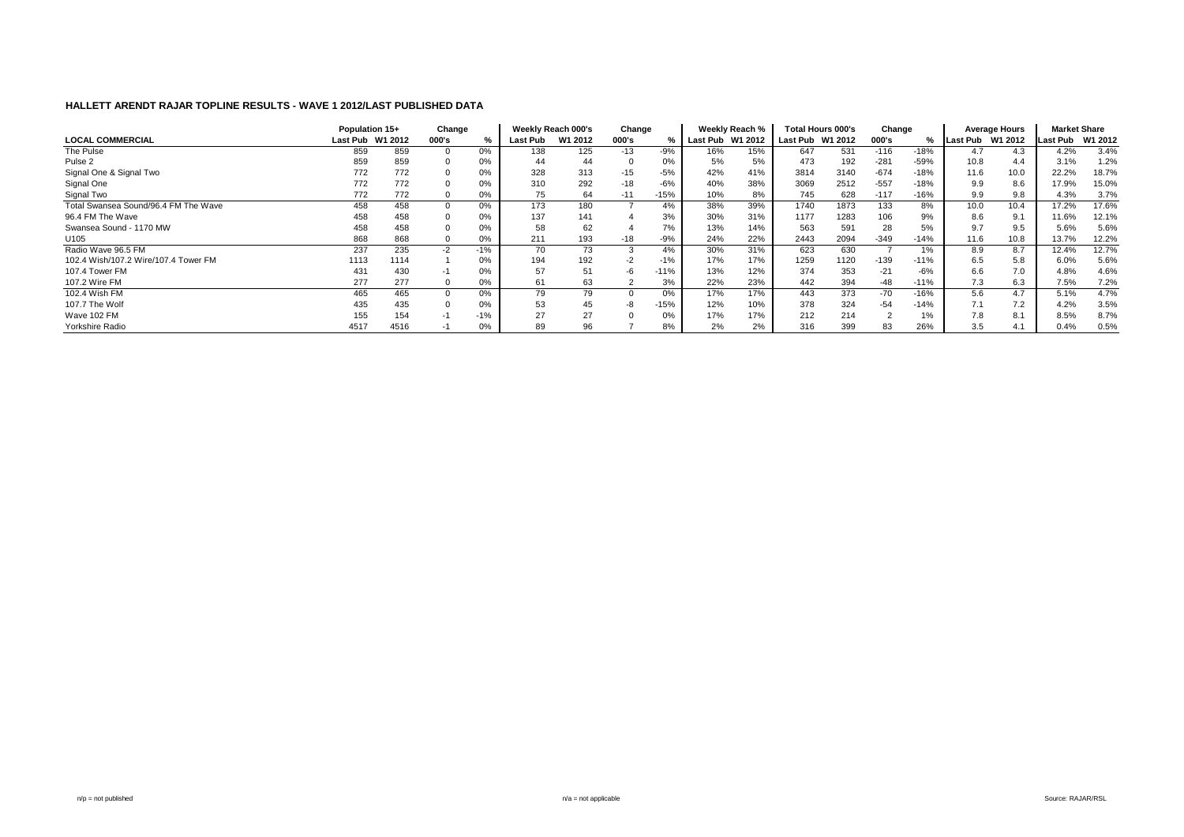|                                      | Population 15+ |                  | Change   |       |          | Weekly Reach 000's | Change   |        |                  | Weekly Reach % |          | <b>Total Hours 000's</b> | Change |        |          | Average Hours | <b>Market Share</b> |         |
|--------------------------------------|----------------|------------------|----------|-------|----------|--------------------|----------|--------|------------------|----------------|----------|--------------------------|--------|--------|----------|---------------|---------------------|---------|
| <b>LOCAL COMMERCIAL</b>              |                | Last Pub W1 2012 | 000's    | %     | Last Pub | W1 2012            | 000's    |        | Last Pub W1 2012 |                | Last Pub | W1 2012                  | 000's  | %      | Last Pub | W1 2012       | <b>Last Pub</b>     | W1 2012 |
| The Pulse                            | 859            | 859              |          | 0%    | 138      | 125                | $-13$    | $-9%$  | 16%              | 15%            | 647      | 531                      | $-116$ | $-18%$ | 4.7      | 4.3           | 4.2%                | 3.4%    |
| Pulse <sub>2</sub>                   | 859            | 859              |          | 0%    | 44       | 44                 | $\Omega$ | 0%     | 5%               | 5%             | 473      | 192                      | $-281$ | $-59%$ | 10.8     | 4.4           | 3.1%                | 1.2%    |
| Signal One & Signal Two              | 772            | 772              |          | 0%    | 328      | 313                | $-15$    | $-5%$  | 42%              | 41%            | 3814     | 3140                     | $-674$ | $-18%$ | 11.6     | 10.0          | 22.2%               | 18.7%   |
| Signal One                           | 772            | 772              |          | 0%    | 310      | 292                | $-18$    | $-6%$  | 40%              | 38%            | 3069     | 2512                     | $-557$ | $-18%$ | 9.9      | 8.6           | 17.9%               | 15.0%   |
| Signal Two                           | 772            | 772              | $\Omega$ | 0%    | 75       | 64                 | $-11$    | $-15%$ | 10%              | 8%             | 745      | 628                      | $-117$ | $-16%$ | 9.9      | 9.8           | 4.3%                | 3.7%    |
| Total Swansea Sound/96.4 FM The Wave | 458            | 458              |          | 0%    | 173      | 180                |          | 4%     | 38%              | 39%            | 1740     | 1873                     | 133    | 8%     | 10.0     | 10.4          | 17.2%               | 17.6%   |
| 96.4 FM The Wave                     | 458            | 458              |          | 0%    | 137      | 141                |          | 3%     | 30%              | 31%            | 1177     | 1283                     | 106    | 9%     | 8.6      | 9.1           | 11.6%               | 12.1%   |
| Swansea Sound - 1170 MW              | 458            | 458              |          | 0%    | 58       | 62                 |          | 7%     | 13%              | 14%            | 563      | 591                      | 28     | 5%     | 9.7      | 9.5           | 5.6%                | 5.6%    |
| U105                                 | 868            | 868              |          | 0%    | 211      | 193                | -18      | $-9%$  | 24%              | 22%            | 2443     | 2094                     | $-349$ | $-14%$ | 11.6     | 10.8          | 13.7%               | 12.2%   |
| Radio Wave 96.5 FM                   | 237            | 235              | $-2$     | $-1%$ | 70       | 73                 | 3        |        | 30%              | 31%            | 623      | 630                      |        | 1%     | 8.9      | 8.7           | $12.\overline{4\%}$ | 12.7%   |
| 102.4 Wish/107.2 Wire/107.4 Tower FM | 1113           | 1114             |          | 0%    | 194      | 192                | -2       | $-1%$  | 17%              | 17%            | 1259     | 1120                     | $-139$ | $-11%$ | 6.5      | 5.8           | 6.0%                | 5.6%    |
| 107.4 Tower FM                       | 431            | 430              |          | 0%    | 57       |                    | -b       | $-11%$ | 13%              | 12%            | 374      | 353                      | $-21$  | $-6%$  | 6.6      | 7.0           | 4.8%                | 4.6%    |
| 107.2 Wire FM                        | 277            | 277              |          | 0%    | 61       | 63                 |          | 3%     | 22%              | 23%            | 442      | 394                      | $-48$  | $-11%$ | 7.3      | 6.3           | 7.5%                | 7.2%    |
| 102.4 Wish FM                        | 465            | 465              |          | 0%    | 79       | 79                 |          | 0%     | 17%              | 17%            | 443      | 373                      | $-70$  | $-16%$ | 5.6      | 4.7           | 5.1%                | 4.7%    |
| 107.7 The Wolf                       | 435            | 435              |          | 0%    | 53       | 45                 | -8       | $-15%$ | 12%              | 10%            | 378      | 324                      | $-54$  | $-14%$ | 7.1      | 7.2           | 4.2%                | 3.5%    |
| Wave 102 FM                          | 155            | 154              | -1       | $-1%$ | 27       | 27                 |          | 0%     | 17%              | 17%            | 212      | 214                      |        | $1\%$  | 7.8      | 8.1           | 8.5%                | 8.7%    |
| Yorkshire Radio                      | 4517           | 4516             |          | 0%    | 89       | Уб                 |          | 8%     | 2%               | 2%             | 316      | 399                      | 83     | 26%    | 3.5      | 4.1           | 0.4%                | 0.5%    |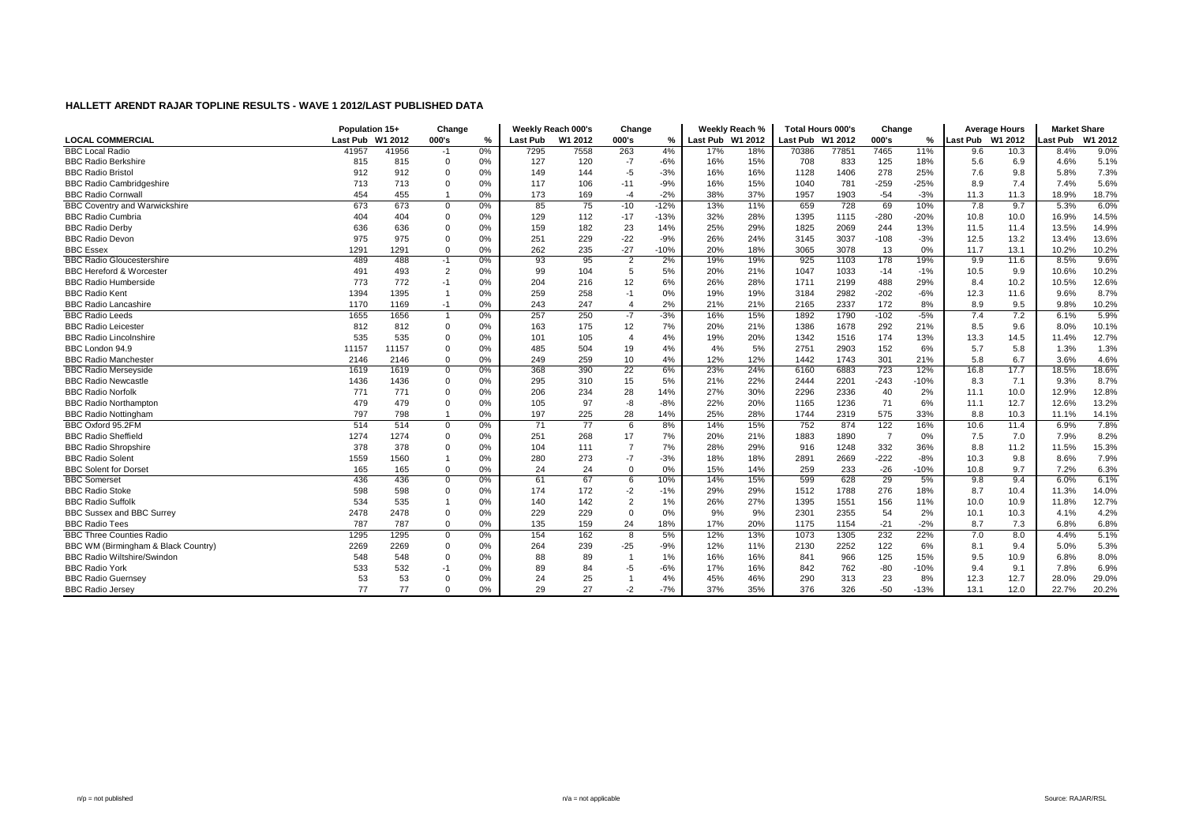|                                      | Population 15+   |       | Change         |       |          | Weekly Reach 000's | Change                  |        |                  | Weekly Reach % | <b>Total Hours 000's</b> |       | Change         |        |                  | <b>Average Hours</b> | <b>Market Share</b> |         |
|--------------------------------------|------------------|-------|----------------|-------|----------|--------------------|-------------------------|--------|------------------|----------------|--------------------------|-------|----------------|--------|------------------|----------------------|---------------------|---------|
| <b>LOCAL COMMERCIAL</b>              | Last Pub W1 2012 |       | 000's          | $\%$  | Last Pub | W1 2012            | 000's                   | %      | Last Pub W1 2012 |                | Last Pub W1 2012         |       | 000's          | %      | Last Pub W1 2012 |                      | ast Pub.            | W1 2012 |
| <b>BBC Local Radio</b>               | 41957            | 41956 | $-1$           | 0%    | 7295     | 7558               | 263                     | 4%     | 17%              | 18%            | 70386                    | 77851 | 7465           | 11%    | 9.6              | 10.3                 | 8.4%                | 9.0%    |
| <b>BBC Radio Berkshire</b>           | 815              | 815   | $\Omega$       | 0%    | 127      | 120                | $-7$                    | $-6%$  | 16%              | 15%            | 708                      | 833   | 125            | 18%    | 5.6              | 6.9                  | 4.6%                | 5.1%    |
| <b>BBC Radio Bristo</b>              | 912              | 912   | $\Omega$       | 0%    | 149      | 144                | $-5$                    | $-3%$  | 16%              | 16%            | 1128                     | 1406  | 278            | 25%    | 7.6              | 9.8                  | 5.8%                | 7.3%    |
| <b>BBC Radio Cambridgeshire</b>      | 713              | 713   | $\Omega$       | 0%    | 117      | 106                | $-11$                   | $-9%$  | 16%              | 15%            | 1040                     | 781   | $-259$         | $-25%$ | 8.9              | 7.4                  | 7.4%                | 5.6%    |
| <b>BBC Radio Cornwall</b>            | 454              | 455   |                | 0%    | 173      | 169                | $-4$                    | $-2%$  | 38%              | 37%            | 1957                     | 1903  | $-54$          | $-3%$  | 11.3             | 11.3                 | 18.9%               | 18.7%   |
| <b>BBC Coventry and Warwickshire</b> | 673              | 673   | $\mathbf 0$    | 0%    | 85       | 75                 | $-10$                   | $-12%$ | 13%              | 11%            | 659                      | 728   | 69             | 10%    | 7.8              | 9.7                  | 5.3%                | 6.0%    |
| <b>BBC Radio Cumbria</b>             | 404              | 404   | $\Omega$       | 0%    | 129      | 112                | $-17$                   | $-13%$ | 32%              | 28%            | 1395                     | 1115  | $-280$         | $-20%$ | 10.8             | 10.0                 | 16.9%               | 14.5%   |
| <b>BBC Radio Derby</b>               | 636              | 636   | $\Omega$       | 0%    | 159      | 182                | 23                      | 14%    | 25%              | 29%            | 1825                     | 2069  | 244            | 13%    | 11.5             | 11.4                 | 13.5%               | 14.9%   |
| <b>BBC Radio Devon</b>               | 975              | 975   | $\Omega$       | $0\%$ | 251      | 229                | $-22$                   | $-9%$  | 26%              | 24%            | 3145                     | 3037  | $-108$         | $-3%$  | 12.5             | 13.2                 | 13.4%               | 13.6%   |
| <b>BBC Essex</b>                     | 1291             | 1291  | $\Omega$       | 0%    | 262      | 235                | $-27$                   | $-10%$ | 20%              | 18%            | 3065                     | 3078  | 13             | 0%     | 11.7             | 13.1                 | 10.2%               | 10.2%   |
| <b>BBC Radio Gloucestershire</b>     | 489              | 488   | -1             | 0%    | 93       | 95                 | $\overline{2}$          | 2%     | 19%              | 19%            | 925                      | 1103  | 178            | 19%    | 9.9              | 11.6                 | 8.5%                | 9.6%    |
| <b>BBC Hereford &amp; Worcester</b>  | 491              | 493   | $\overline{2}$ | 0%    | 99       | 104                | 5                       | 5%     | 20%              | 21%            | 1047                     | 1033  | $-14$          | $-1%$  | 10.5             | 9.9                  | 10.6%               | 10.2%   |
| <b>BBC Radio Humberside</b>          | 773              | 772   | $-1$           | 0%    | 204      | 216                | 12                      | 6%     | 26%              | 28%            | 1711                     | 2199  | 488            | 29%    | 8.4              | 10.2                 | 10.5%               | 12.6%   |
| <b>BBC Radio Kent</b>                | 1394             | 1395  |                | 0%    | 259      | 258                | $-1$                    | 0%     | 19%              | 19%            | 3184                     | 2982  | $-202$         | $-6%$  | 12.3             | 11.6                 | 9.6%                | 8.7%    |
| <b>BBC Radio Lancashire</b>          | 1170             | 1169  | $-1$           | 0%    | 243      | 247                | $\overline{4}$          | 2%     | 21%              | 21%            | 2165                     | 2337  | 172            | 8%     | 8.9              | 9.5                  | 9.8%                | 10.2%   |
| <b>BBC Radio Leeds</b>               | 1655             | 1656  |                | $0\%$ | 257      | 250                | -7                      | $-3%$  | 16%              | 15%            | 1892                     | 1790  | $-102$         | $-5%$  | 7.4              | 7.2                  | 6.1%                | 5.9%    |
| <b>BBC Radio Leicester</b>           | 812              | 812   | $\Omega$       | 0%    | 163      | 175                | 12                      | 7%     | 20%              | 21%            | 1386                     | 1678  | 292            | 21%    | 8.5              | 9.6                  | 8.0%                | 10.1%   |
| <b>BBC Radio Lincolnshire</b>        | 535              | 535   | $\Omega$       | 0%    | 101      | 105                | $\overline{4}$          | 4%     | 19%              | 20%            | 1342                     | 1516  | 174            | 13%    | 13.3             | 14.5                 | 11.4%               | 12.7%   |
| BBC London 94.9                      | 11157            | 11157 | $\Omega$       | 0%    | 485      | 504                | 19                      | 4%     | 4%               | 5%             | 2751                     | 2903  | 152            | 6%     | 5.7              | 5.8                  | 1.3%                | 1.3%    |
| <b>BBC Radio Manchester</b>          | 2146             | 2146  | $\mathbf 0$    | 0%    | 249      | 259                | 10                      | 4%     | 12%              | 12%            | 1442                     | 1743  | 301            | 21%    | 5.8              | 6.7                  | 3.6%                | 4.6%    |
| <b>BBC Radio Merseyside</b>          | 1619             | 1619  | $\mathbf 0$    | $0\%$ | 368      | 390                | 22                      | 6%     | 23%              | 24%            | 6160                     | 6883  | 723            | 12%    | 16.8             | 17.7                 | 18.5%               | 18.6%   |
| <b>BBC Radio Newcastle</b>           | 1436             | 1436  | $\mathbf 0$    | 0%    | 295      | 310                | 15                      | 5%     | 21%              | 22%            | 2444                     | 2201  | $-243$         | $-10%$ | 8.3              | 7.1                  | 9.3%                | 8.7%    |
| <b>BBC Radio Norfolk</b>             | 771              | 771   | $\Omega$       | 0%    | 206      | 234                | 28                      | 14%    | 27%              | 30%            | 2296                     | 2336  | 40             | 2%     | 11.1             | 10.0                 | 12.9%               | 12.8%   |
| <b>BBC Radio Northampton</b>         | 479              | 479   | $\Omega$       | 0%    | 105      | 97                 | $-8$                    | $-8%$  | 22%              | 20%            | 1165                     | 1236  | 71             | 6%     | 11.1             | 12.7                 | 12.6%               | 13.2%   |
| <b>BBC Radio Nottingham</b>          | 797              | 798   | $\overline{1}$ | 0%    | 197      | 225                | 28                      | 14%    | 25%              | 28%            | 1744                     | 2319  | 575            | 33%    | 8.8              | 10.3                 | 11.1%               | 14.1%   |
| BBC Oxford 95.2FM                    | 514              | 514   | $\mathbf 0$    | 0%    | 71       | 77                 | 6                       | 8%     | 14%              | 15%            | 752                      | 874   | 122            | 16%    | 10.6             | 11.4                 | 6.9%                | 7.8%    |
| <b>BBC Radio Sheffield</b>           | 1274             | 1274  | $\Omega$       | 0%    | 251      | 268                | 17                      | 7%     | 20%              | 21%            | 1883                     | 1890  | $\overline{7}$ | 0%     | 7.5              | 7.0                  | 7.9%                | 8.2%    |
| <b>BBC Radio Shropshire</b>          | 378              | 378   | $\Omega$       | 0%    | 104      | 111                | $\overline{7}$          | 7%     | 28%              | 29%            | 916                      | 1248  | 332            | 36%    | 8.8              | 11.2                 | 11.5%               | 15.3%   |
| <b>BBC Radio Solent</b>              | 1559             | 1560  |                | 0%    | 280      | 273                | $-7$                    | $-3%$  | 18%              | 18%            | 2891                     | 2669  | $-222$         | $-8%$  | 10.3             | 9.8                  | 8.6%                | 7.9%    |
| <b>BBC Solent for Dorset</b>         | 165              | 165   | $\mathbf 0$    | 0%    | 24       | 24                 | $\mathbf 0$             | 0%     | 15%              | 14%            | 259                      | 233   | $-26$          | $-10%$ | 10.8             | 9.7                  | 7.2%                | 6.3%    |
| <b>BBC</b> Somerset                  | 436              | 436   | $\mathbf 0$    | 0%    | 61       | 67                 | 6                       | 10%    | 14%              | 15%            | 599                      | 628   | 29             | 5%     | 9.8              | 9.4                  | 6.0%                | 6.1%    |
| <b>BBC Radio Stoke</b>               | 598              | 598   | $\Omega$       | 0%    | 174      | 172                | $-2$                    | $-1%$  | 29%              | 29%            | 1512                     | 1788  | 276            | 18%    | 8.7              | 10.4                 | 11.3%               | 14.0%   |
| <b>BBC Radio Suffolk</b>             | 534              | 535   |                | 0%    | 140      | 142                | $\overline{2}$          | 1%     | 26%              | 27%            | 1395                     | 1551  | 156            | 11%    | 10.0             | 10.9                 | 11.8%               | 12.7%   |
| <b>BBC Sussex and BBC Surrey</b>     | 2478             | 2478  | $\mathbf 0$    | 0%    | 229      | 229                | $\overline{0}$          | 0%     | 9%               | 9%             | 2301                     | 2355  | 54             | 2%     | 10.1             | 10.3                 | 4.1%                | 4.2%    |
| <b>BBC Radio Tees</b>                | 787              | 787   | $\mathbf 0$    | 0%    | 135      | 159                | 24                      | 18%    | 17%              | 20%            | 1175                     | 1154  | $-21$          | $-2%$  | 8.7              | 7.3                  | 6.8%                | 6.8%    |
| <b>BBC Three Counties Radio</b>      | 1295             | 1295  | $\mathbf 0$    | 0%    | 154      | 162                | $\overline{\mathbf{8}}$ | 5%     | 12%              | 13%            | 1073                     | 1305  | 232            | 22%    | 7.0              | 8.0                  | 4.4%                | 5.1%    |
| BBC WM (Birmingham & Black Country)  | 2269             | 2269  | $\Omega$       | 0%    | 264      | 239                | $-25$                   | $-9%$  | 12%              | 11%            | 2130                     | 2252  | 122            | 6%     | 8.1              | 9.4                  | 5.0%                | 5.3%    |
| <b>BBC Radio Wiltshire/Swindon</b>   | 548              | 548   |                | 0%    | 88       | 89                 | $\overline{1}$          | 1%     | 16%              | 16%            | 841                      | 966   | 125            | 15%    | 9.5              | 10.9                 | 6.8%                | 8.0%    |
| <b>BBC Radio York</b>                | 533              | 532   | $-1$           | 0%    | 89       | 84                 | $-5$                    | $-6%$  | 17%              | 16%            | 842                      | 762   | $-80$          | $-10%$ | 9.4              | 9.1                  | 7.8%                | 6.9%    |
| <b>BBC Radio Guernsey</b>            | 53               | 53    |                | 0%    | 24       | 25                 |                         | 4%     | 45%              | 46%            | 290                      | 313   | 23             | 8%     | 12.3             | 12.7                 | 28.0%               | 29.0%   |
| <b>BBC Radio Jersey</b>              | 77               | 77    | $\Omega$       | 0%    | 29       | 27                 | $-2$                    | $-7%$  | 37%              | 35%            | 376                      | 326   | $-50$          | $-13%$ | 13.1             | 12.0                 | 22.7%               | 20.2%   |